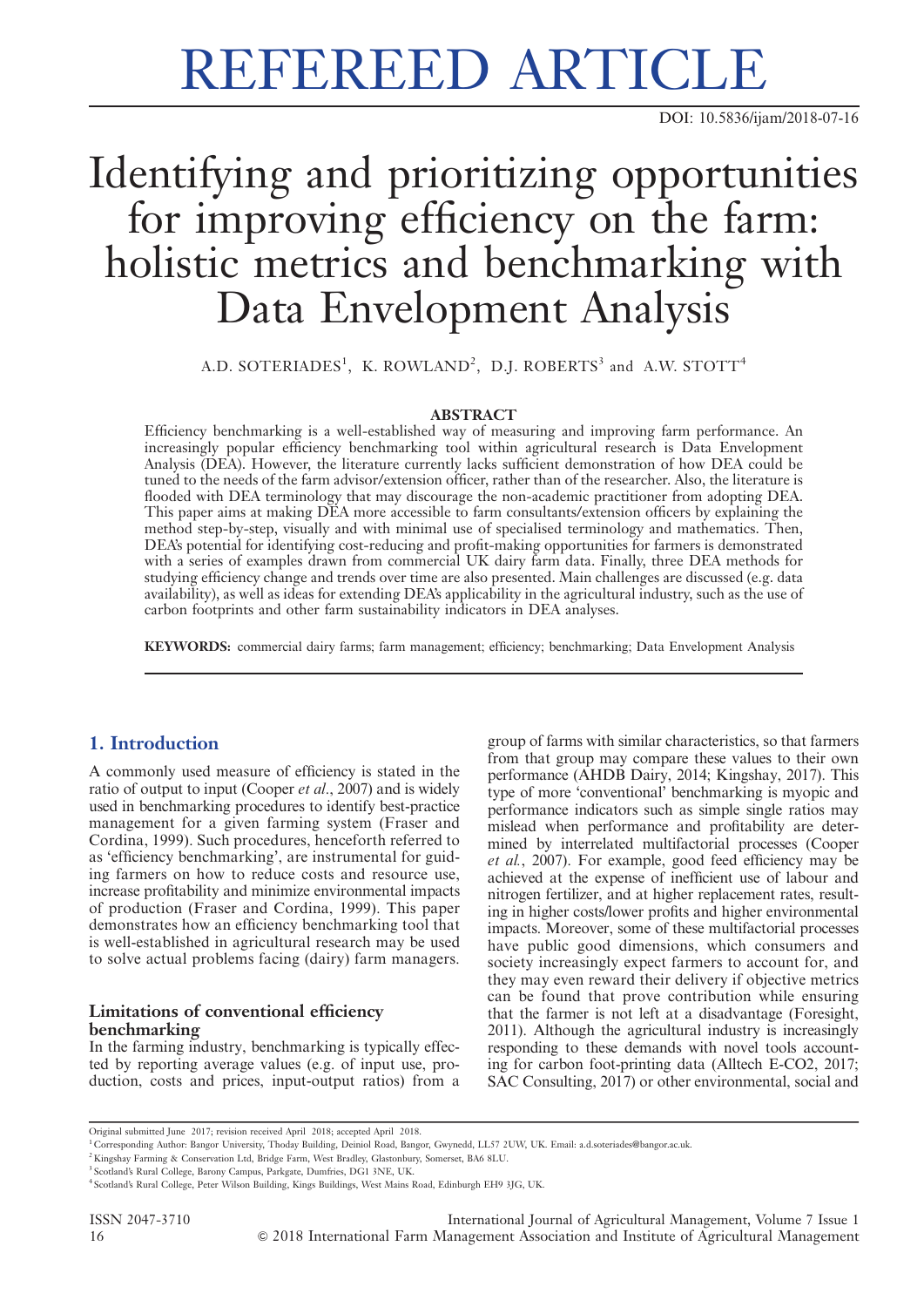# REFEREED ARTICLE

DOI: 10.5836/ijam/2018-07-16

## Identifying and prioritizing opportunities for improving efficiency on the farm: holistic metrics and benchmarking with Data Envelopment Analysis

A.D. SOTERIADES $^1$ , K. ROWLAND $^2$ , D.J. ROBERTS $^3$  and A.W. STOTT $^4$ 

## **ABSTRACT**

Efficiency benchmarking is a well-established way of measuring and improving farm performance. An increasingly popular efficiency benchmarking tool within agricultural research is Data Envelopment Analysis (DEA). However, the literature currently lacks sufficient demonstration of how DEA could be tuned to the needs of the farm advisor/extension officer, rather than of the researcher. Also, the literature is flooded with DEA terminology that may discourage the non-academic practitioner from adopting DEA. This paper aims at making DEA more accessible to farm consultants/extension officers by explaining the method step-by-step, visually and with minimal use of specialised terminology and mathematics. Then, DEA's potential for identifying cost-reducing and profit-making opportunities for farmers is demonstrated with a series of examples drawn from commercial UK dairy farm data. Finally, three DEA methods for studying efficiency change and trends over time are also presented. Main challenges are discussed (e.g. data availability), as well as ideas for extending DEA's applicability in the agricultural industry, such as the use of carbon footprints and other farm sustainability indicators in DEA analyses.

KEYWORDS: commercial dairy farms; farm management; efficiency; benchmarking; Data Envelopment Analysis

## 1. Introduction

A commonly used measure of efficiency is stated in the ratio of output to input (Cooper et al., 2007) and is widely used in benchmarking procedures to identify best-practice management for a given farming system (Fraser and Cordina, 1999). Such procedures, henceforth referred to as 'efficiency benchmarking', are instrumental for guiding farmers on how to reduce costs and resource use, increase profitability and minimize environmental impacts of production (Fraser and Cordina, 1999). This paper demonstrates how an efficiency benchmarking tool that is well-established in agricultural research may be used to solve actual problems facing (dairy) farm managers.

## Limitations of conventional efficiency benchmarking

In the farming industry, benchmarking is typically effected by reporting average values (e.g. of input use, production, costs and prices, input-output ratios) from a

group of farms with similar characteristics, so that farmers from that group may compare these values to their own performance (AHDB Dairy, 2014; Kingshay, 2017). This type of more 'conventional' benchmarking is myopic and performance indicators such as simple single ratios may mislead when performance and profitability are determined by interrelated multifactorial processes (Cooper et al., 2007). For example, good feed efficiency may be achieved at the expense of inefficient use of labour and nitrogen fertilizer, and at higher replacement rates, resulting in higher costs/lower profits and higher environmental impacts. Moreover, some of these multifactorial processes have public good dimensions, which consumers and society increasingly expect farmers to account for, and they may even reward their delivery if objective metrics can be found that prove contribution while ensuring that the farmer is not left at a disadvantage (Foresight, 2011). Although the agricultural industry is increasingly responding to these demands with novel tools accounting for carbon foot-printing data (Alltech E-CO2, 2017; SAC Consulting, 2017) or other environmental, social and

Original submitted June 2017; revision received April 2018; accepted April 2018.

<sup>1</sup> Corresponding Author: Bangor University, Thoday Building, Deiniol Road, Bangor, Gwynedd, LL57 2UW, UK. Email: a.d.soteriades@bangor.ac.uk.

<sup>2</sup> Kingshay Farming & Conservation Ltd, Bridge Farm, West Bradley, Glastonbury, Somerset, BA6 8LU.

<sup>3</sup> Scotland's Rural College, Barony Campus, Parkgate, Dumfries, DG1 3NE, UK.

<sup>4</sup> Scotland's Rural College, Peter Wilson Building, Kings Buildings, West Mains Road, Edinburgh EH9 3JG, UK.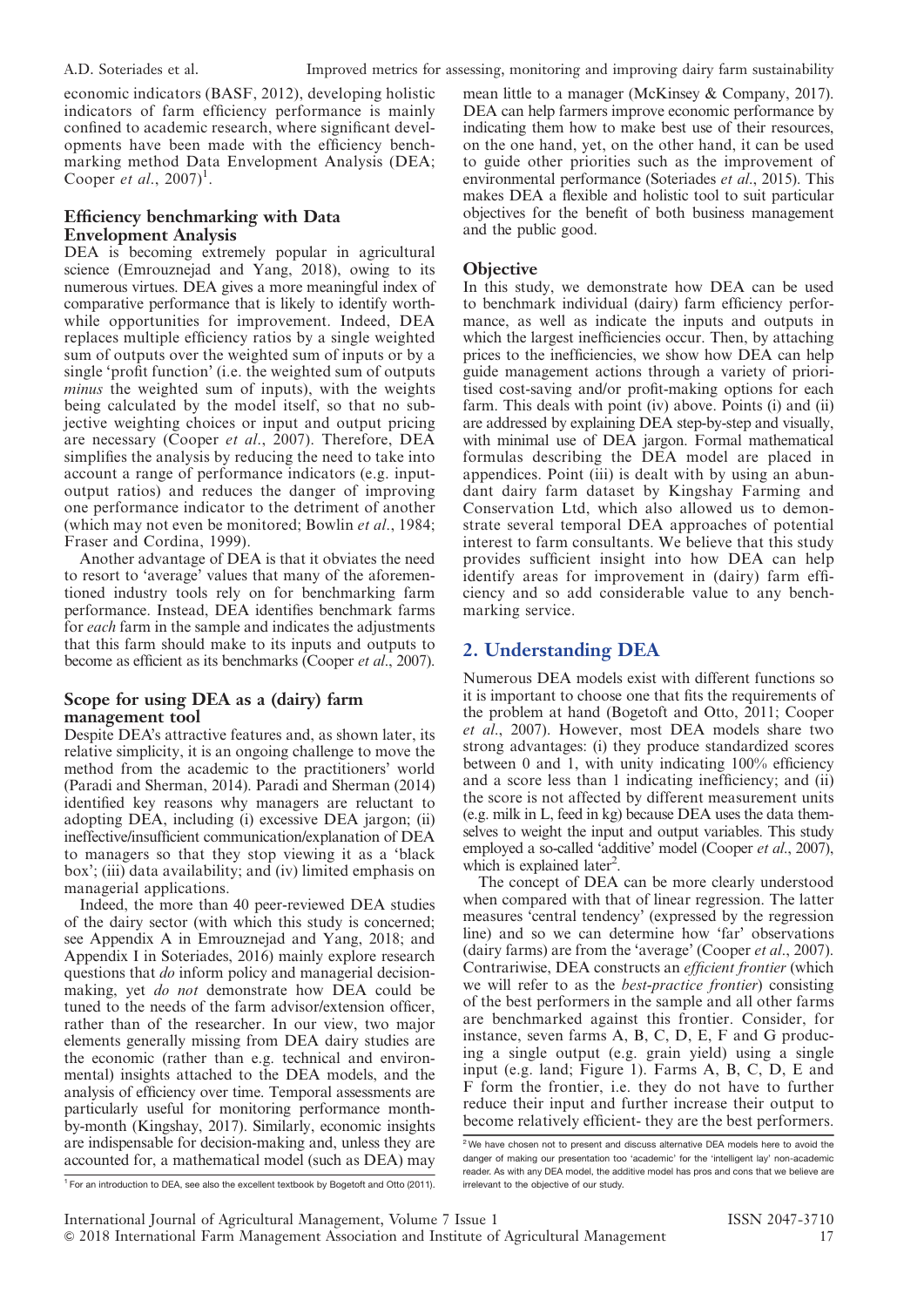economic indicators (BASF, 2012), developing holistic indicators of farm efficiency performance is mainly confined to academic research, where significant developments have been made with the efficiency benchmarking method Data Envelopment Analysis (DEA; Cooper et al.,  $2007$ <sup>1</sup>.

## Efficiency benchmarking with Data Envelopment Analysis

DEA is becoming extremely popular in agricultural science (Emrouznejad and Yang, 2018), owing to its numerous virtues. DEA gives a more meaningful index of comparative performance that is likely to identify worthwhile opportunities for improvement. Indeed, DEA replaces multiple efficiency ratios by a single weighted sum of outputs over the weighted sum of inputs or by a single 'profit function' (i.e. the weighted sum of outputs minus the weighted sum of inputs), with the weights being calculated by the model itself, so that no subjective weighting choices or input and output pricing are necessary (Cooper et al., 2007). Therefore, DEA simplifies the analysis by reducing the need to take into account a range of performance indicators (e.g. inputoutput ratios) and reduces the danger of improving one performance indicator to the detriment of another (which may not even be monitored; Bowlin et al., 1984; Fraser and Cordina, 1999).

Another advantage of DEA is that it obviates the need to resort to 'average' values that many of the aforementioned industry tools rely on for benchmarking farm performance. Instead, DEA identifies benchmark farms for each farm in the sample and indicates the adjustments that this farm should make to its inputs and outputs to become as efficient as its benchmarks (Cooper et al., 2007).

## Scope for using DEA as a (dairy) farm management tool

Despite DEA's attractive features and, as shown later, its relative simplicity, it is an ongoing challenge to move the method from the academic to the practitioners' world (Paradi and Sherman, 2014). Paradi and Sherman (2014) identified key reasons why managers are reluctant to adopting DEA, including (i) excessive DEA jargon; (ii) ineffective/insufficient communication/explanation of DEA to managers so that they stop viewing it as a 'black box'; (iii) data availability; and (iv) limited emphasis on managerial applications.

Indeed, the more than 40 peer-reviewed DEA studies of the dairy sector (with which this study is concerned; see Appendix A in Emrouznejad and Yang, 2018; and Appendix I in Soteriades, 2016) mainly explore research questions that *do* inform policy and managerial decisionmaking, yet do not demonstrate how DEA could be tuned to the needs of the farm advisor/extension officer, rather than of the researcher. In our view, two major elements generally missing from DEA dairy studies are the economic (rather than e.g. technical and environmental) insights attached to the DEA models, and the analysis of efficiency over time. Temporal assessments are particularly useful for monitoring performance monthby-month (Kingshay, 2017). Similarly, economic insights are indispensable for decision-making and, unless they are accounted for, a mathematical model (such as DEA) may

mean little to a manager (McKinsey & Company, 2017). DEA can help farmers improve economic performance by indicating them how to make best use of their resources, on the one hand, yet, on the other hand, it can be used to guide other priorities such as the improvement of environmental performance (Soteriades et al., 2015). This makes DEA a flexible and holistic tool to suit particular objectives for the benefit of both business management and the public good.

## **Objective**

In this study, we demonstrate how DEA can be used to benchmark individual (dairy) farm efficiency performance, as well as indicate the inputs and outputs in which the largest inefficiencies occur. Then, by attaching prices to the inefficiencies, we show how DEA can help guide management actions through a variety of prioritised cost-saving and/or profit-making options for each farm. This deals with point (iv) above. Points (i) and (ii) are addressed by explaining DEA step-by-step and visually, with minimal use of DEA jargon. Formal mathematical formulas describing the DEA model are placed in appendices. Point (iii) is dealt with by using an abundant dairy farm dataset by Kingshay Farming and Conservation Ltd, which also allowed us to demonstrate several temporal DEA approaches of potential interest to farm consultants. We believe that this study provides sufficient insight into how DEA can help identify areas for improvement in (dairy) farm efficiency and so add considerable value to any benchmarking service.

## 2. Understanding DEA

Numerous DEA models exist with different functions so it is important to choose one that fits the requirements of the problem at hand (Bogetoft and Otto, 2011; Cooper et al., 2007). However, most DEA models share two strong advantages: (i) they produce standardized scores between 0 and 1, with unity indicating 100% efficiency and a score less than 1 indicating inefficiency; and (ii) the score is not affected by different measurement units (e.g. milk in L, feed in kg) because DEA uses the data themselves to weight the input and output variables. This study employed a so-called 'additive' model (Cooper et al., 2007), which is explained later<sup>2</sup>.

The concept of DEA can be more clearly understood when compared with that of linear regression. The latter measures 'central tendency' (expressed by the regression line) and so we can determine how 'far' observations (dairy farms) are from the 'average' (Cooper et al., 2007). Contrariwise, DEA constructs an efficient frontier (which we will refer to as the best-practice frontier) consisting of the best performers in the sample and all other farms are benchmarked against this frontier. Consider, for instance, seven farms A, B, C, D, E, F and G producing a single output (e.g. grain yield) using a single input (e.g. land; Figure 1). Farms A, B, C, D, E and F form the frontier, i.e. they do not have to further reduce their input and further increase their output to become relatively efficient- they are the best performers.

 $2$ We have chosen not to present and discuss alternative DEA models here to avoid the danger of making our presentation too 'academic' for the 'intelligent lay' non-academic reader. As with any DEA model, the additive model has pros and cons that we believe are irrelevant to the objective of our study.

<sup>&</sup>lt;sup>1</sup> For an introduction to DEA, see also the excellent textbook by Bogetoft and Otto (2011).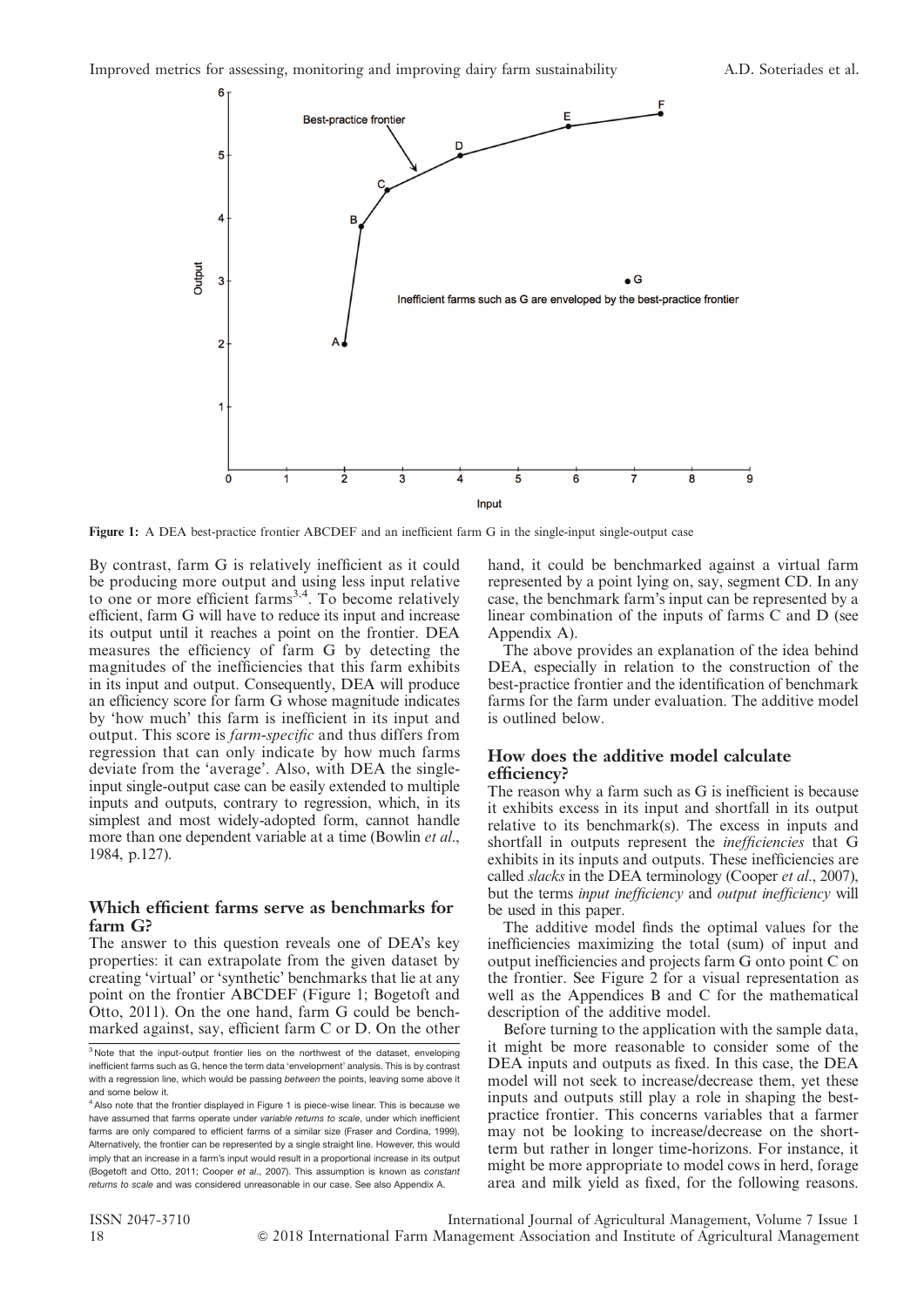

Figure 1: A DEA best-practice frontier ABCDEF and an inefficient farm G in the single-input single-output case

By contrast, farm G is relatively inefficient as it could be producing more output and using less input relative to one or more efficient farms<sup>3,4</sup>. To become relatively efficient, farm G will have to reduce its input and increase its output until it reaches a point on the frontier. DEA measures the efficiency of farm G by detecting the magnitudes of the inefficiencies that this farm exhibits in its input and output. Consequently, DEA will produce an efficiency score for farm G whose magnitude indicates by 'how much' this farm is inefficient in its input and output. This score is farm-specific and thus differs from regression that can only indicate by how much farms deviate from the 'average'. Also, with DEA the singleinput single-output case can be easily extended to multiple inputs and outputs, contrary to regression, which, in its simplest and most widely-adopted form, cannot handle more than one dependent variable at a time (Bowlin et al., 1984, p.127).

## Which efficient farms serve as benchmarks for farm G?

The answer to this question reveals one of DEA's key properties: it can extrapolate from the given dataset by creating 'virtual' or 'synthetic' benchmarks that lie at any point on the frontier ABCDEF (Figure 1; Bogetoft and Otto, 2011). On the one hand, farm G could be benchmarked against, say, efficient farm C or D. On the other hand, it could be benchmarked against a virtual farm represented by a point lying on, say, segment CD. In any case, the benchmark farm's input can be represented by a linear combination of the inputs of farms C and D (see Appendix A).

The above provides an explanation of the idea behind DEA, especially in relation to the construction of the best-practice frontier and the identification of benchmark farms for the farm under evaluation. The additive model is outlined below.

## How does the additive model calculate efficiency?

The reason why a farm such as G is inefficient is because it exhibits excess in its input and shortfall in its output relative to its benchmark(s). The excess in inputs and shortfall in outputs represent the inefficiencies that G exhibits in its inputs and outputs. These inefficiencies are called slacks in the DEA terminology (Cooper et al., 2007), but the terms input inefficiency and output inefficiency will be used in this paper.

The additive model finds the optimal values for the inefficiencies maximizing the total (sum) of input and output inefficiencies and projects farm G onto point C on the frontier. See Figure 2 for a visual representation as well as the Appendices B and C for the mathematical description of the additive model.

Before turning to the application with the sample data, it might be more reasonable to consider some of the DEA inputs and outputs as fixed. In this case, the DEA model will not seek to increase/decrease them, yet these inputs and outputs still play a role in shaping the bestpractice frontier. This concerns variables that a farmer may not be looking to increase/decrease on the shortterm but rather in longer time-horizons. For instance, it might be more appropriate to model cows in herd, forage area and milk yield as fixed, for the following reasons.

 $3$  Note that the input-output frontier lies on the northwest of the dataset, enveloping inefficient farms such as G, hence the term data 'envelopment' analysis. This is by contrast with a regression line, which would be passing between the points, leaving some above it and some below it.

<sup>&</sup>lt;sup>4</sup> Also note that the frontier displayed in Figure 1 is piece-wise linear. This is because we have assumed that farms operate under variable returns to scale, under which inefficient farms are only compared to efficient farms of a similar size (Fraser and Cordina, 1999). Alternatively, the frontier can be represented by a single straight line. However, this would imply that an increase in a farm's input would result in a proportional increase in its output (Bogetoft and Otto, 2011; Cooper et al., 2007). This assumption is known as constant returns to scale and was considered unreasonable in our case. See also Appendix A.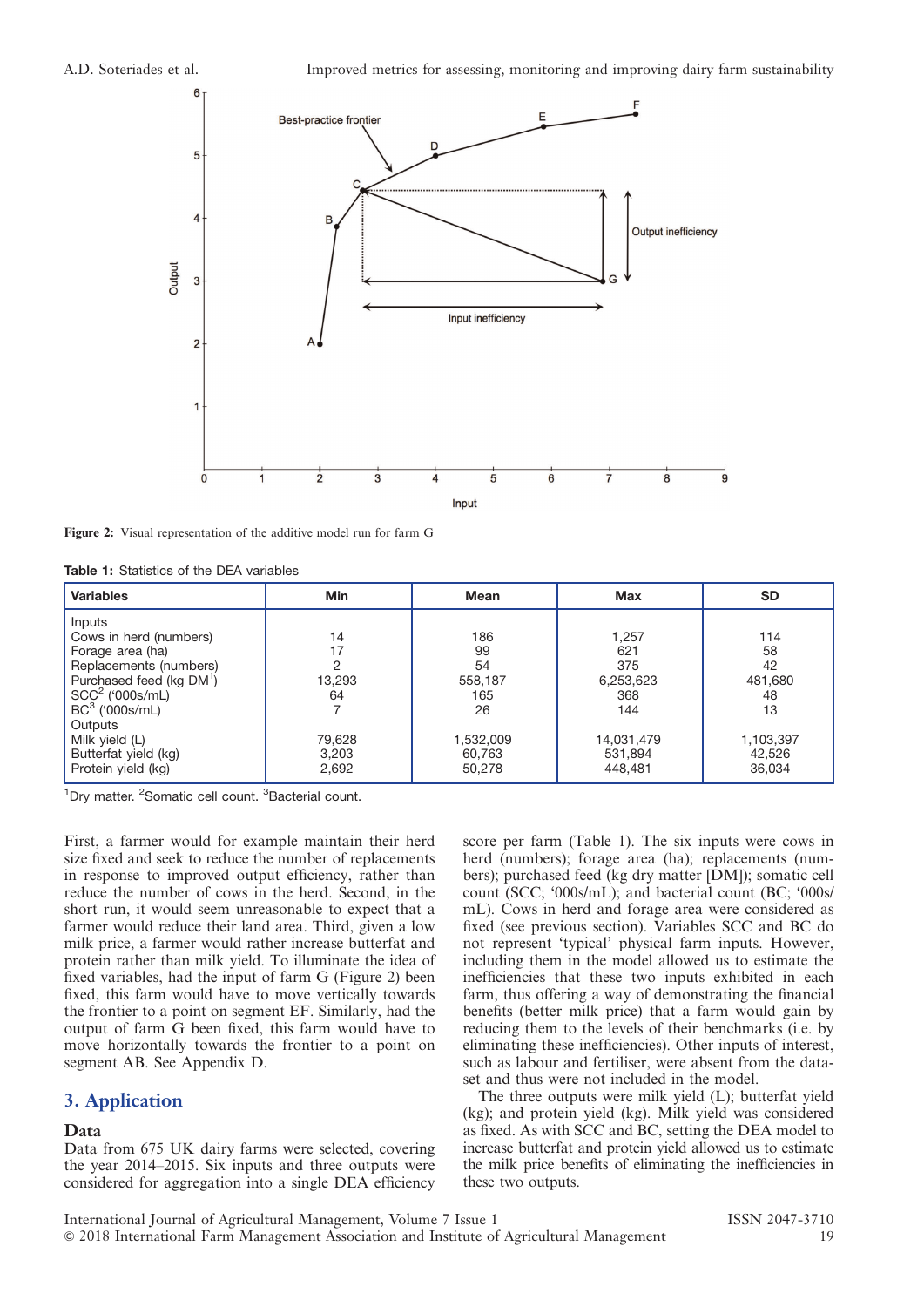

Figure 2: Visual representation of the additive model run for farm G

Table 1: Statistics of the DEA variables

| <b>Variables</b>                                                                                                                                                                                                                            | Min                                                       | <b>Mean</b>                                                              | <b>Max</b>                                                                         | <b>SD</b>                                                               |
|---------------------------------------------------------------------------------------------------------------------------------------------------------------------------------------------------------------------------------------------|-----------------------------------------------------------|--------------------------------------------------------------------------|------------------------------------------------------------------------------------|-------------------------------------------------------------------------|
| Inputs<br>Cows in herd (numbers)<br>Forage area (ha)<br>Replacements (numbers)<br>Purchased feed (kg DM <sup>1</sup> )<br>$SCC2$ ('000s/mL)<br>$BC^3$ ('000s/mL)<br>Outputs<br>Milk yield (L)<br>Butterfat yield (kg)<br>Protein yield (kg) | 14<br>17<br>റ<br>13,293<br>64<br>79,628<br>3,203<br>2,692 | 186<br>99<br>54<br>558,187<br>165<br>26<br>1,532,009<br>60,763<br>50,278 | 1,257<br>621<br>375<br>6,253,623<br>368<br>144<br>14,031,479<br>531,894<br>448.481 | 114<br>58<br>42<br>481,680<br>48<br>13<br>1,103,397<br>42,526<br>36,034 |

<sup>1</sup>Dry matter. <sup>2</sup>Somatic cell count. <sup>3</sup>Bacterial count.

First, a farmer would for example maintain their herd size fixed and seek to reduce the number of replacements in response to improved output efficiency, rather than reduce the number of cows in the herd. Second, in the short run, it would seem unreasonable to expect that a farmer would reduce their land area. Third, given a low milk price, a farmer would rather increase butterfat and protein rather than milk yield. To illuminate the idea of fixed variables, had the input of farm G (Figure 2) been fixed, this farm would have to move vertically towards the frontier to a point on segment EF. Similarly, had the output of farm G been fixed, this farm would have to move horizontally towards the frontier to a point on segment AB. See Appendix D.

## 3. Application

#### Data

Data from 675 UK dairy farms were selected, covering the year 2014–2015. Six inputs and three outputs were considered for aggregation into a single DEA efficiency

score per farm (Table 1). The six inputs were cows in herd (numbers); forage area (ha); replacements (numbers); purchased feed (kg dry matter [DM]); somatic cell count (SCC; '000s/mL); and bacterial count (BC; '000s/ mL). Cows in herd and forage area were considered as fixed (see previous section). Variables SCC and BC do not represent 'typical' physical farm inputs. However, including them in the model allowed us to estimate the inefficiencies that these two inputs exhibited in each farm, thus offering a way of demonstrating the financial benefits (better milk price) that a farm would gain by reducing them to the levels of their benchmarks (i.e. by eliminating these inefficiencies). Other inputs of interest, such as labour and fertiliser, were absent from the dataset and thus were not included in the model.

The three outputs were milk yield (L); butterfat yield (kg); and protein yield (kg). Milk yield was considered as fixed. As with SCC and BC, setting the DEA model to increase butterfat and protein yield allowed us to estimate the milk price benefits of eliminating the inefficiencies in these two outputs.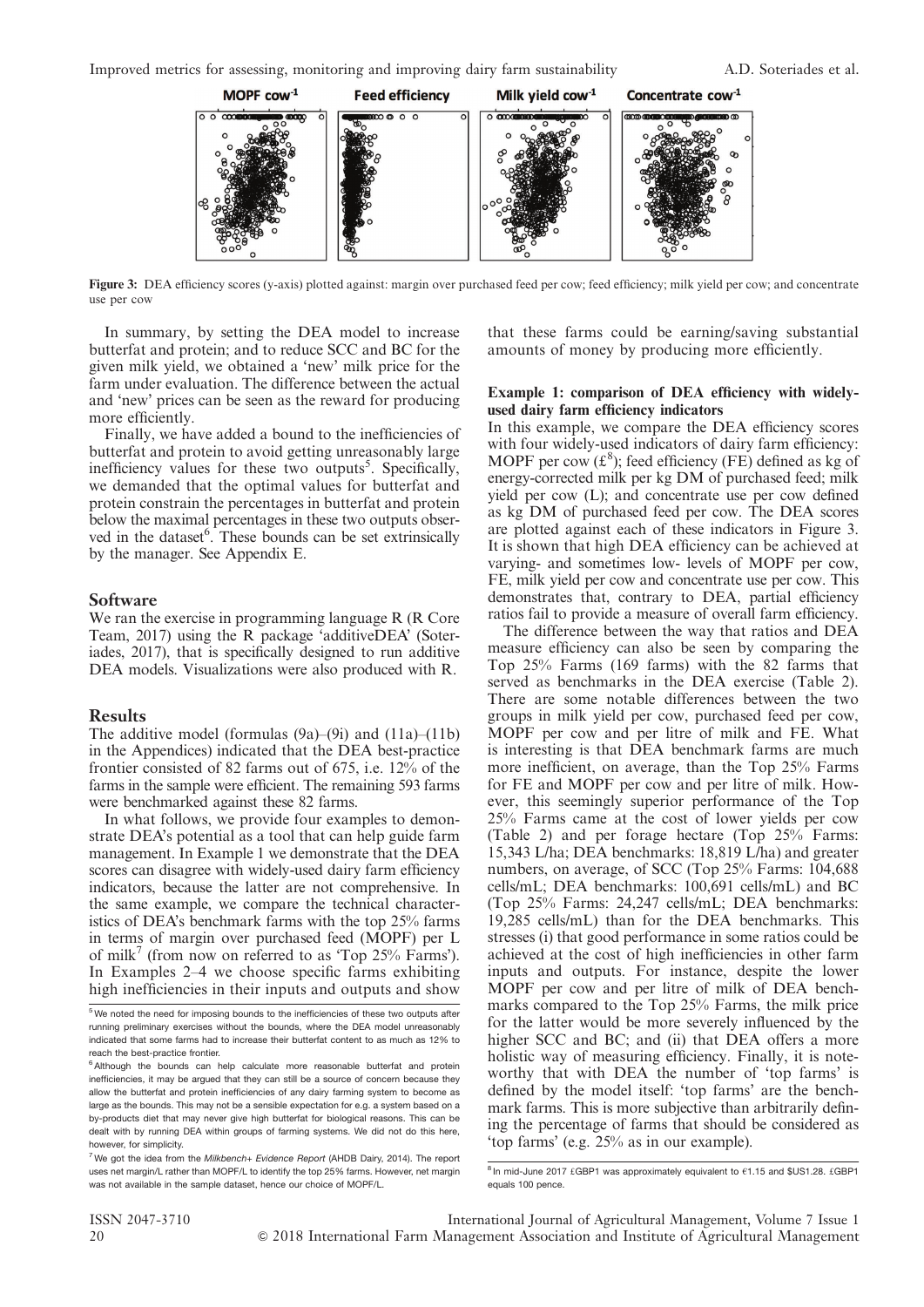Improved metrics for assessing, monitoring and improving dairy farm sustainability A.D. Soteriades et al.



Figure 3: DEA efficiency scores (y-axis) plotted against: margin over purchased feed per cow; feed efficiency; milk yield per cow; and concentrate use per cow

In summary, by setting the DEA model to increase butterfat and protein; and to reduce SCC and BC for the given milk yield, we obtained a 'new' milk price for the farm under evaluation. The difference between the actual and 'new' prices can be seen as the reward for producing more efficiently.

Finally, we have added a bound to the inefficiencies of butterfat and protein to avoid getting unreasonably large inefficiency values for these two outputs<sup>5</sup>. Specifically, we demanded that the optimal values for butterfat and protein constrain the percentages in butterfat and protein below the maximal percentages in these two outputs observed in the dataset<sup>6</sup>. These bounds can be set extrinsically by the manager. See Appendix E.

#### **Software**

We ran the exercise in programming language R (R Core Team, 2017) using the R package 'additiveDEA' (Soteriades, 2017), that is specifically designed to run additive DEA models. Visualizations were also produced with R.

#### **Results**

The additive model (formulas  $(9a)$ – $(9i)$  and  $(11a)$ – $(11b)$ in the Appendices) indicated that the DEA best-practice frontier consisted of 82 farms out of 675, i.e. 12% of the farms in the sample were efficient. The remaining 593 farms were benchmarked against these 82 farms.

In what follows, we provide four examples to demonstrate DEA's potential as a tool that can help guide farm management. In Example 1 we demonstrate that the DEA scores can disagree with widely-used dairy farm efficiency indicators, because the latter are not comprehensive. In the same example, we compare the technical characteristics of DEA's benchmark farms with the top 25% farms in terms of margin over purchased feed (MOPF) per L of milk<sup>7</sup> (from now on referred to as 'Top  $25\%$  Farms'). In Examples 2–4 we choose specific farms exhibiting high inefficiencies in their inputs and outputs and show that these farms could be earning/saving substantial amounts of money by producing more efficiently.

#### Example 1: comparison of DEA efficiency with widelyused dairy farm efficiency indicators

In this example, we compare the DEA efficiency scores with four widely-used indicators of dairy farm efficiency: MOPF per cow  $(\text{f}^8)$ ; feed efficiency (FE) defined as kg of energy-corrected milk per kg DM of purchased feed; milk yield per cow (L); and concentrate use per cow defined as kg DM of purchased feed per cow. The DEA scores are plotted against each of these indicators in Figure 3. It is shown that high DEA efficiency can be achieved at varying- and sometimes low- levels of MOPF per cow, FE, milk yield per cow and concentrate use per cow. This demonstrates that, contrary to DEA, partial efficiency ratios fail to provide a measure of overall farm efficiency.

The difference between the way that ratios and DEA measure efficiency can also be seen by comparing the Top 25% Farms (169 farms) with the 82 farms that served as benchmarks in the DEA exercise (Table 2). There are some notable differences between the two groups in milk yield per cow, purchased feed per cow, MOPF per cow and per litre of milk and FE. What is interesting is that DEA benchmark farms are much more inefficient, on average, than the Top 25% Farms for FE and MOPF per cow and per litre of milk. However, this seemingly superior performance of the Top 25% Farms came at the cost of lower yields per cow (Table 2) and per forage hectare (Top 25% Farms: 15,343 L/ha; DEA benchmarks: 18,819 L/ha) and greater numbers, on average, of SCC (Top 25% Farms: 104,688 cells/mL; DEA benchmarks: 100,691 cells/mL) and BC (Top 25% Farms: 24,247 cells/mL; DEA benchmarks: 19,285 cells/mL) than for the DEA benchmarks. This stresses (i) that good performance in some ratios could be achieved at the cost of high inefficiencies in other farm inputs and outputs. For instance, despite the lower MOPF per cow and per litre of milk of DEA benchmarks compared to the Top 25% Farms, the milk price for the latter would be more severely influenced by the higher SCC and BC; and (ii) that DEA offers a more holistic way of measuring efficiency. Finally, it is noteworthy that with DEA the number of 'top farms' is defined by the model itself: 'top farms' are the benchmark farms. This is more subjective than arbitrarily defining the percentage of farms that should be considered as 'top farms' (e.g. 25% as in our example).

<sup>5</sup> We noted the need for imposing bounds to the inefficiencies of these two outputs after running preliminary exercises without the bounds, where the DEA model unreasonably indicated that some farms had to increase their butterfat content to as much as 12% to reach the best-practice frontier.

<sup>&</sup>lt;sup>6</sup> Although the bounds can help calculate more reasonable butterfat and protein inefficiencies, it may be argued that they can still be a source of concern because they allow the butterfat and protein inefficiencies of any dairy farming system to become as large as the bounds. This may not be a sensible expectation for e.g. a system based on a by-products diet that may never give high butterfat for biological reasons. This can be dealt with by running DEA within groups of farming systems. We did not do this here, however, for simplicity.

 $7$  We got the idea from the Milkbench+ Evidence Report (AHDB Dairy, 2014). The report uses net margin/L rather than MOPF/L to identify the top 25% farms. However, net margin was not available in the sample dataset, hence our choice of MOPF/L.

 $8$  In mid-June 2017 £GBP1 was approximately equivalent to  $61.15$  and \$US1.28. £GBP1 equals 100 pence.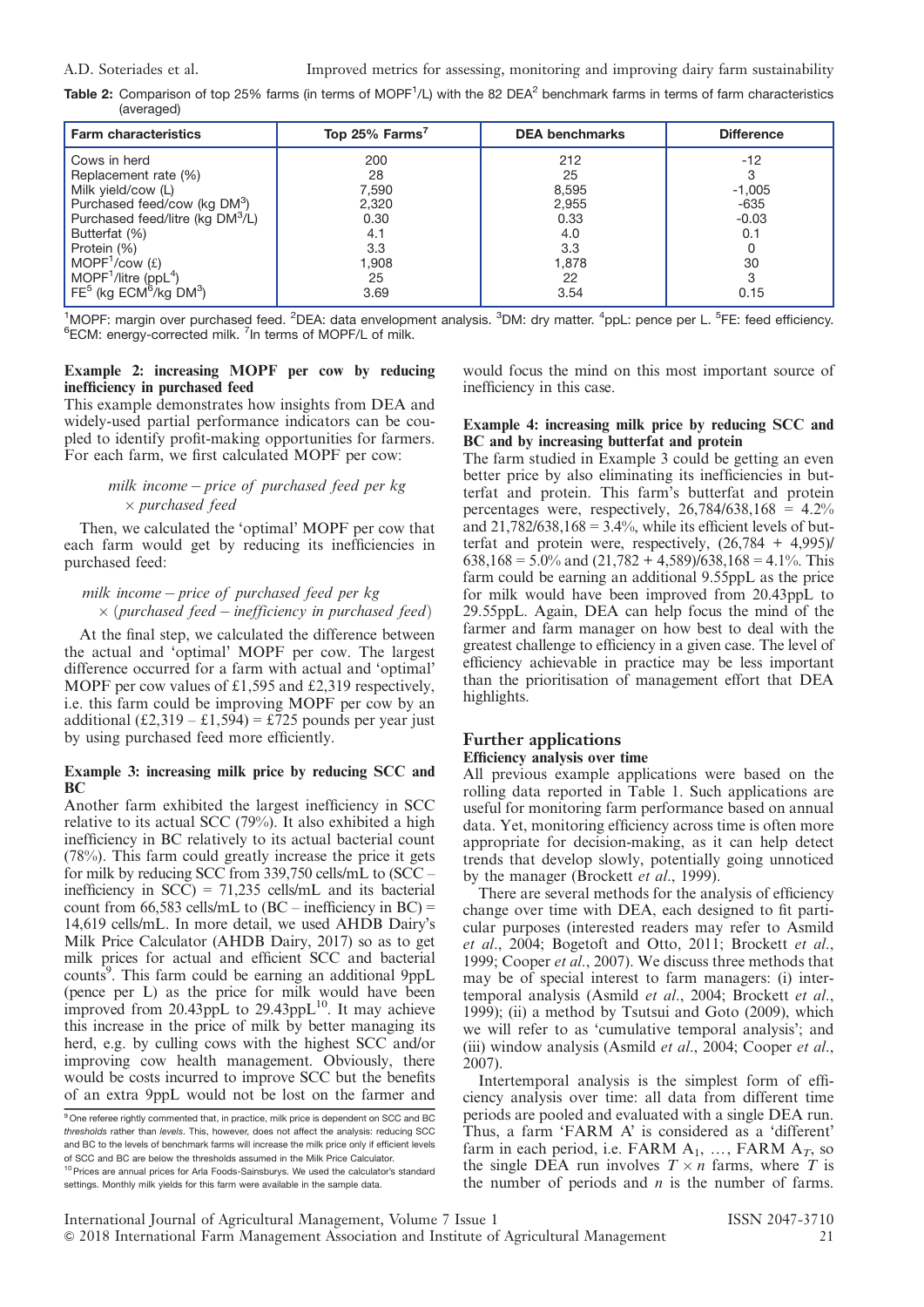A.D. Soteriades et al. Improved metrics for assessing, monitoring and improving dairy farm sustainability

**Table 2:** Comparison of top 25% farms (in terms of MOPF<sup>1</sup>/L) with the 82 DEA<sup>2</sup> benchmark farms in terms of farm characteristics (averaged)

| <b>Farm characteristics</b>              | Top 25% Farms <sup>7</sup> | <b>DEA benchmarks</b> | <b>Difference</b> |
|------------------------------------------|----------------------------|-----------------------|-------------------|
| Cows in herd                             | 200                        | 212                   | $-12$             |
| Replacement rate (%)                     | 28                         | 25                    |                   |
| Milk yield/cow (L)                       | 7,590                      | 8,595                 | $-1,005$          |
| Purchased feed/cow (kg DM <sup>3</sup> ) | 2,320                      | 2,955                 | -635              |
| Purchased feed/litre (kg DM3/L)          | 0.30                       | 0.33                  | $-0.03$           |
| Butterfat (%)                            | 4.1                        | 4.0                   | 0.1               |
| Protein (%)                              | 3.3                        | 3.3                   |                   |
| MOPF <sup>1</sup> /cow $(f)$             | 1.908                      | 1,878                 | 30                |
| MOPF <sup>1</sup> /litre (pp $L^4$ )     | 25                         | 22                    |                   |
| $FE5$ (kg $ECM6/kg$ DM <sup>3</sup> )    | 3.69                       | 3.54                  | 0.15              |

<sup>1</sup>MOPF: margin over purchased feed. <sup>2</sup>DEA: data envelopment analysis. <sup>3</sup>DM: dry matter. <sup>4</sup>ppL: pence per L. <sup>5</sup>FE: feed efficiency.<br><sup>6</sup>ECM: energy-corrected milk. <sup>7</sup>In terms of MOPE/L of milk. ECM: energy-corrected milk. <sup>7</sup>In terms of MOPF/L of milk.

#### Example 2: increasing MOPF per cow by reducing inefficiency in purchased feed

This example demonstrates how insights from DEA and widely-used partial performance indicators can be coupled to identify profit-making opportunities for farmers. For each farm, we first calculated MOPF per cow:

## milk income  $-p$  price of purchased feed per  $kg$  $\times$  purchased feed

Then, we calculated the 'optimal' MOPF per cow that each farm would get by reducing its inefficiencies in purchased feed:

#### milk income  $-$  price of purchased feed per  $kg$  $\times$  (purchased feed – inefficiency in purchased feed)

At the final step, we calculated the difference between the actual and 'optimal' MOPF per cow. The largest difference occurred for a farm with actual and 'optimal' MOPF per cow values of  $£1,595$  and  $£2,319$  respectively, i.e. this farm could be improving MOPF per cow by an additional (£2,319 – £1,594) = £725 pounds per year just by using purchased feed more efficiently.

## Example 3: increasing milk price by reducing SCC and **BC**

Another farm exhibited the largest inefficiency in SCC relative to its actual SCC (79%). It also exhibited a high inefficiency in BC relatively to its actual bacterial count (78%). This farm could greatly increase the price it gets for milk by reducing SCC from 339,750 cells/mL to (SCC – inefficiency in  $SCC$ ) = 71,235 cells/mL and its bacterial count from 66,583 cells/mL to  $(BC - \text{inefficiency in BC}) =$ 14,619 cells/mL. In more detail, we used AHDB Dairy's Milk Price Calculator (AHDB Dairy, 2017) so as to get milk prices for actual and efficient SCC and bacterial counts<sup>9</sup>. This farm could be earning an additional 9ppL (pence per L) as the price for milk would have been improved from 20.43ppL to  $29.43$ ppL $^{10}$ . It may achieve this increase in the price of milk by better managing its herd, e.g. by culling cows with the highest SCC and/or improving cow health management. Obviously, there would be costs incurred to improve SCC but the benefits of an extra 9ppL would not be lost on the farmer and

settings. Monthly milk yields for this farm were available in the sample data.

would focus the mind on this most important source of inefficiency in this case.

## Example 4: increasing milk price by reducing SCC and BC and by increasing butterfat and protein

The farm studied in Example 3 could be getting an even better price by also eliminating its inefficiencies in butterfat and protein. This farm's butterfat and protein percentages were, respectively,  $26.784/638.168 = 4.2\%$ and  $21,782/638,168 = 3.4\%$ , while its efficient levels of butterfat and protein were, respectively,  $(26,784 + 4,995)$  $638,168 = 5.0\%$  and  $(21,782 + 4,589)/638,168 = 4.1\%$ . This farm could be earning an additional 9.55ppL as the price for milk would have been improved from 20.43ppL to 29.55ppL. Again, DEA can help focus the mind of the farmer and farm manager on how best to deal with the greatest challenge to efficiency in a given case. The level of efficiency achievable in practice may be less important than the prioritisation of management effort that DEA highlights.

## Further applications Efficiency analysis over time

All previous example applications were based on the rolling data reported in Table 1. Such applications are useful for monitoring farm performance based on annual data. Yet, monitoring efficiency across time is often more appropriate for decision-making, as it can help detect trends that develop slowly, potentially going unnoticed by the manager (Brockett et al., 1999).

There are several methods for the analysis of efficiency change over time with DEA, each designed to fit particular purposes (interested readers may refer to Asmild et al., 2004; Bogetoft and Otto, 2011; Brockett et al., 1999; Cooper et al., 2007). We discuss three methods that may be of special interest to farm managers: (i) intertemporal analysis (Asmild et al., 2004; Brockett et al., 1999); (ii) a method by Tsutsui and Goto (2009), which we will refer to as 'cumulative temporal analysis'; and (iii) window analysis (Asmild et al., 2004; Cooper et al., 2007).

Intertemporal analysis is the simplest form of efficiency analysis over time: all data from different time periods are pooled and evaluated with a single DEA run. Thus, a farm 'FARM A' is considered as a 'different' farm in each period, i.e. FARM  $A_1$ , ..., FARM  $A_T$ , so the single DEA run involves  $T \times n$  farms, where T is the number of periods and  $n$  is the number of farms.

<sup>&</sup>lt;sup>9</sup> One referee rightly commented that, in practice, milk price is dependent on SCC and BC thresholds rather than levels. This, however, does not affect the analysis: reducing SCC and BC to the levels of benchmark farms will increase the milk price only if efficient levels of SCC and BC are below the thresholds assumed in the Milk Price Calculator. <sup>10</sup> Prices are annual prices for Arla Foods-Sainsburys. We used the calculator's standard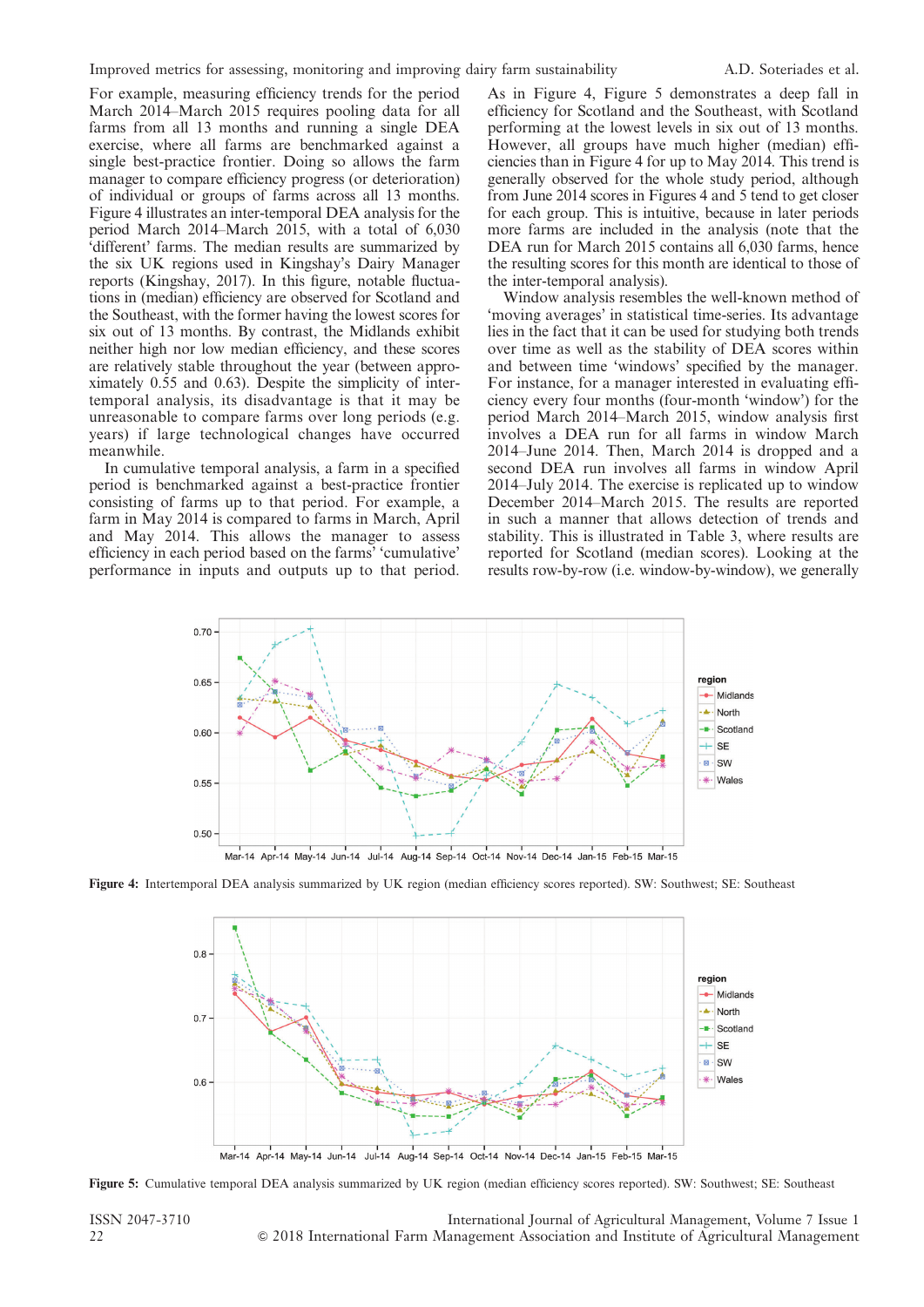For example, measuring efficiency trends for the period March 2014–March 2015 requires pooling data for all farms from all 13 months and running a single DEA exercise, where all farms are benchmarked against a single best-practice frontier. Doing so allows the farm manager to compare efficiency progress (or deterioration) of individual or groups of farms across all 13 months. Figure 4 illustrates an inter-temporal DEA analysis for the period March 2014–March 2015, with a total of 6,030 'different' farms. The median results are summarized by the six UK regions used in Kingshay's Dairy Manager reports (Kingshay, 2017). In this figure, notable fluctuations in (median) efficiency are observed for Scotland and the Southeast, with the former having the lowest scores for six out of 13 months. By contrast, the Midlands exhibit neither high nor low median efficiency, and these scores are relatively stable throughout the year (between approximately 0.55 and 0.63). Despite the simplicity of intertemporal analysis, its disadvantage is that it may be unreasonable to compare farms over long periods (e.g. years) if large technological changes have occurred meanwhile.

In cumulative temporal analysis, a farm in a specified period is benchmarked against a best-practice frontier consisting of farms up to that period. For example, a farm in May 2014 is compared to farms in March, April and May 2014. This allows the manager to assess efficiency in each period based on the farms' 'cumulative' performance in inputs and outputs up to that period. As in Figure 4, Figure 5 demonstrates a deep fall in efficiency for Scotland and the Southeast, with Scotland performing at the lowest levels in six out of 13 months. However, all groups have much higher (median) efficiencies than in Figure 4 for up to May 2014. This trend is generally observed for the whole study period, although from June 2014 scores in Figures 4 and 5 tend to get closer for each group. This is intuitive, because in later periods more farms are included in the analysis (note that the DEA run for March 2015 contains all 6,030 farms, hence the resulting scores for this month are identical to those of the inter-temporal analysis).

Window analysis resembles the well-known method of 'moving averages' in statistical time-series. Its advantage lies in the fact that it can be used for studying both trends over time as well as the stability of DEA scores within and between time 'windows' specified by the manager. For instance, for a manager interested in evaluating efficiency every four months (four-month 'window') for the period March 2014–March 2015, window analysis first involves a DEA run for all farms in window March 2014–June 2014. Then, March 2014 is dropped and a second DEA run involves all farms in window April 2014–July 2014. The exercise is replicated up to window December 2014–March 2015. The results are reported in such a manner that allows detection of trends and stability. This is illustrated in Table 3, where results are reported for Scotland (median scores). Looking at the results row-by-row (i.e. window-by-window), we generally



Figure 4: Intertemporal DEA analysis summarized by UK region (median efficiency scores reported). SW: Southwest; SE: Southeast



Figure 5: Cumulative temporal DEA analysis summarized by UK region (median efficiency scores reported). SW: Southwest; SE: Southeast

ISSN 2047-3710 International Journal of Agricultural Management, Volume 7 Issue 1 22 & 2018 International Farm Management Association and Institute of Agricultural Management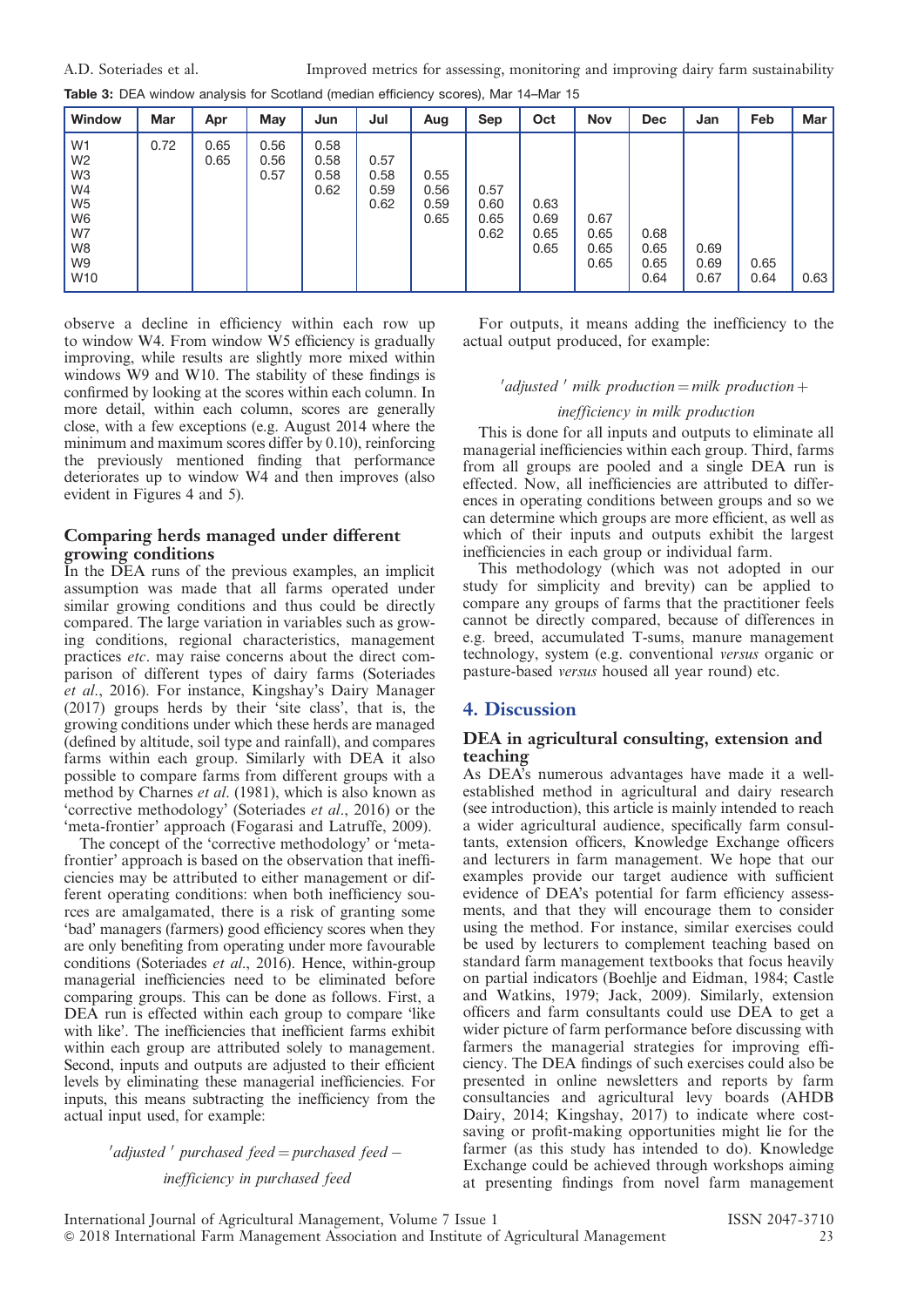| <b>Window</b>                                                                                                                                 | <b>Mar</b> | Apr          | May                  | Jun                          | Jul                          | Aug                          | Sep                          | Oct                          | <b>Nov</b>                   | <b>Dec</b>                   | Jan                  | Feb          | <b>Mar</b> |
|-----------------------------------------------------------------------------------------------------------------------------------------------|------------|--------------|----------------------|------------------------------|------------------------------|------------------------------|------------------------------|------------------------------|------------------------------|------------------------------|----------------------|--------------|------------|
| W <sub>1</sub><br>W <sub>2</sub><br>W <sub>3</sub><br>W4<br>W <sub>5</sub><br>W <sub>6</sub><br>W7<br>W <sub>8</sub><br>W9<br>W <sub>10</sub> | 0.72       | 0.65<br>0.65 | 0.56<br>0.56<br>0.57 | 0.58<br>0.58<br>0.58<br>0.62 | 0.57<br>0.58<br>0.59<br>0.62 | 0.55<br>0.56<br>0.59<br>0.65 | 0.57<br>0.60<br>0.65<br>0.62 | 0.63<br>0.69<br>0.65<br>0.65 | 0.67<br>0.65<br>0.65<br>0.65 | 0.68<br>0.65<br>0.65<br>0.64 | 0.69<br>0.69<br>0.67 | 0.65<br>0.64 | 0.63       |

observe a decline in efficiency within each row up to window W4. From window W5 efficiency is gradually improving, while results are slightly more mixed within windows W9 and W10. The stability of these findings is confirmed by looking at the scores within each column. In more detail, within each column, scores are generally close, with a few exceptions (e.g. August 2014 where the minimum and maximum scores differ by 0.10), reinforcing the previously mentioned finding that performance deteriorates up to window W4 and then improves (also evident in Figures 4 and 5).

## Comparing herds managed under different growing conditions

In the DEA runs of the previous examples, an implicit assumption was made that all farms operated under similar growing conditions and thus could be directly compared. The large variation in variables such as growing conditions, regional characteristics, management practices etc. may raise concerns about the direct comparison of different types of dairy farms (Soteriades et al., 2016). For instance, Kingshay's Dairy Manager (2017) groups herds by their 'site class', that is, the growing conditions under which these herds are managed (defined by altitude, soil type and rainfall), and compares farms within each group. Similarly with DEA it also possible to compare farms from different groups with a method by Charnes et al. (1981), which is also known as 'corrective methodology' (Soteriades et al., 2016) or the 'meta-frontier' approach (Fogarasi and Latruffe, 2009).

The concept of the 'corrective methodology' or 'metafrontier' approach is based on the observation that inefficiencies may be attributed to either management or different operating conditions: when both inefficiency sources are amalgamated, there is a risk of granting some 'bad' managers (farmers) good efficiency scores when they are only benefiting from operating under more favourable conditions (Soteriades et al., 2016). Hence, within-group managerial inefficiencies need to be eliminated before comparing groups. This can be done as follows. First, a DEA run is effected within each group to compare 'like with like'. The inefficiencies that inefficient farms exhibit within each group are attributed solely to management. Second, inputs and outputs are adjusted to their efficient levels by eliminating these managerial inefficiencies. For inputs, this means subtracting the inefficiency from the actual input used, for example:

## $\alpha'$ adjusted  $\alpha'$  purchased feed  $\alpha$  purchased feed  $\alpha$ inefficiency in purchased feed

For outputs, it means adding the inefficiency to the actual output produced, for example:

## $\alpha'$ adjusted  $'$  milk production  $=$  milk production  $+$

## inefficiency in milk production

This is done for all inputs and outputs to eliminate all managerial inefficiencies within each group. Third, farms from all groups are pooled and a single DEA run is effected. Now, all inefficiencies are attributed to differences in operating conditions between groups and so we can determine which groups are more efficient, as well as which of their inputs and outputs exhibit the largest inefficiencies in each group or individual farm.

This methodology (which was not adopted in our study for simplicity and brevity) can be applied to compare any groups of farms that the practitioner feels cannot be directly compared, because of differences in e.g. breed, accumulated T-sums, manure management technology, system (e.g. conventional versus organic or pasture-based versus housed all year round) etc.

## 4. Discussion

## DEA in agricultural consulting, extension and teaching

As DEA's numerous advantages have made it a wellestablished method in agricultural and dairy research (see introduction), this article is mainly intended to reach a wider agricultural audience, specifically farm consultants, extension officers, Knowledge Exchange officers and lecturers in farm management. We hope that our examples provide our target audience with sufficient evidence of DEA's potential for farm efficiency assessments, and that they will encourage them to consider using the method. For instance, similar exercises could be used by lecturers to complement teaching based on standard farm management textbooks that focus heavily on partial indicators (Boehlje and Eidman, 1984; Castle and Watkins, 1979; Jack, 2009). Similarly, extension officers and farm consultants could use DEA to get a wider picture of farm performance before discussing with farmers the managerial strategies for improving efficiency. The DEA findings of such exercises could also be presented in online newsletters and reports by farm consultancies and agricultural levy boards (AHDB Dairy, 2014; Kingshay, 2017) to indicate where costsaving or profit-making opportunities might lie for the farmer (as this study has intended to do). Knowledge Exchange could be achieved through workshops aiming at presenting findings from novel farm management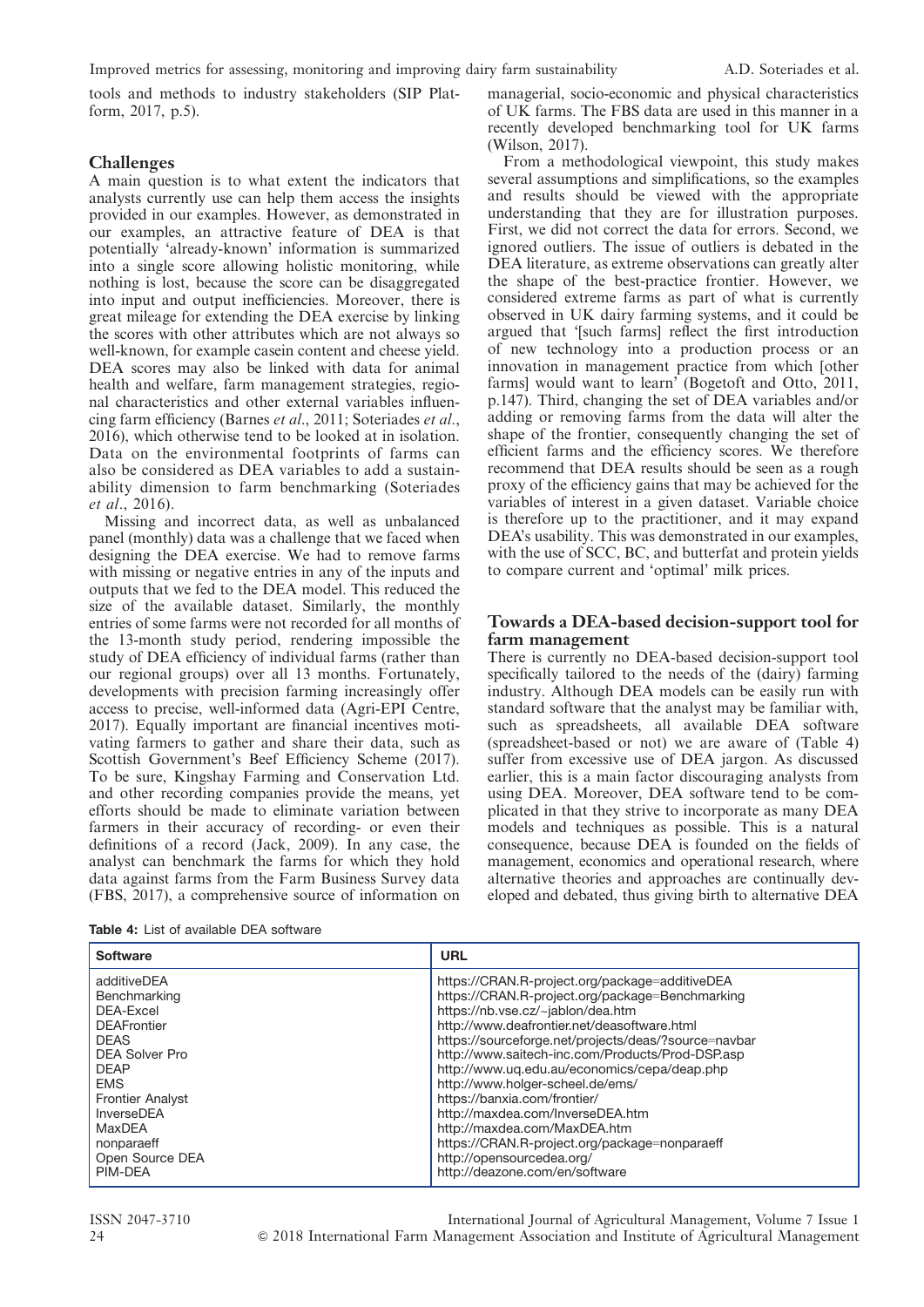tools and methods to industry stakeholders (SIP Platform, 2017, p.5).

## **Challenges**

A main question is to what extent the indicators that analysts currently use can help them access the insights provided in our examples. However, as demonstrated in our examples, an attractive feature of DEA is that potentially 'already-known' information is summarized into a single score allowing holistic monitoring, while nothing is lost, because the score can be disaggregated into input and output inefficiencies. Moreover, there is great mileage for extending the DEA exercise by linking the scores with other attributes which are not always so well-known, for example casein content and cheese yield. DEA scores may also be linked with data for animal health and welfare, farm management strategies, regional characteristics and other external variables influencing farm efficiency (Barnes et al., 2011; Soteriades et al., 2016), which otherwise tend to be looked at in isolation. Data on the environmental footprints of farms can also be considered as DEA variables to add a sustainability dimension to farm benchmarking (Soteriades et al., 2016).

Missing and incorrect data, as well as unbalanced panel (monthly) data was a challenge that we faced when designing the DEA exercise. We had to remove farms with missing or negative entries in any of the inputs and outputs that we fed to the DEA model. This reduced the size of the available dataset. Similarly, the monthly entries of some farms were not recorded for all months of the 13-month study period, rendering impossible the study of DEA efficiency of individual farms (rather than our regional groups) over all 13 months. Fortunately, developments with precision farming increasingly offer access to precise, well-informed data (Agri-EPI Centre, 2017). Equally important are financial incentives motivating farmers to gather and share their data, such as Scottish Government's Beef Efficiency Scheme (2017). To be sure, Kingshay Farming and Conservation Ltd. and other recording companies provide the means, yet efforts should be made to eliminate variation between farmers in their accuracy of recording- or even their definitions of a record (Jack, 2009). In any case, the analyst can benchmark the farms for which they hold data against farms from the Farm Business Survey data (FBS, 2017), a comprehensive source of information on

|  |  |  | <b>Table 4:</b> List of available DEA software |  |  |
|--|--|--|------------------------------------------------|--|--|
|--|--|--|------------------------------------------------|--|--|

managerial, socio-economic and physical characteristics of UK farms. The FBS data are used in this manner in a recently developed benchmarking tool for UK farms (Wilson, 2017).

From a methodological viewpoint, this study makes several assumptions and simplifications, so the examples and results should be viewed with the appropriate understanding that they are for illustration purposes. First, we did not correct the data for errors. Second, we ignored outliers. The issue of outliers is debated in the DEA literature, as extreme observations can greatly alter the shape of the best-practice frontier. However, we considered extreme farms as part of what is currently observed in UK dairy farming systems, and it could be argued that '[such farms] reflect the first introduction of new technology into a production process or an innovation in management practice from which [other farms] would want to learn' (Bogetoft and Otto, 2011, p.147). Third, changing the set of DEA variables and/or adding or removing farms from the data will alter the shape of the frontier, consequently changing the set of efficient farms and the efficiency scores. We therefore recommend that DEA results should be seen as a rough proxy of the efficiency gains that may be achieved for the variables of interest in a given dataset. Variable choice is therefore up to the practitioner, and it may expand DEA's usability. This was demonstrated in our examples, with the use of SCC, BC, and butterfat and protein yields to compare current and 'optimal' milk prices.

## Towards a DEA-based decision-support tool for farm management

There is currently no DEA-based decision-support tool specifically tailored to the needs of the (dairy) farming industry. Although DEA models can be easily run with standard software that the analyst may be familiar with, such as spreadsheets, all available DEA software (spreadsheet-based or not) we are aware of (Table 4) suffer from excessive use of DEA jargon. As discussed earlier, this is a main factor discouraging analysts from using DEA. Moreover, DEA software tend to be complicated in that they strive to incorporate as many DEA models and techniques as possible. This is a natural consequence, because DEA is founded on the fields of management, economics and operational research, where alternative theories and approaches are continually developed and debated, thus giving birth to alternative DEA

| <b>Software</b>         | <b>URL</b>                                           |
|-------------------------|------------------------------------------------------|
| additiveDEA             | https://CRAN.R-project.org/package=additiveDEA       |
| Benchmarking            | https://CRAN.R-project.org/package=Benchmarking      |
| DEA-Excel               | https://nb.vse.cz/~jablon/dea.htm                    |
| <b>DEAFrontier</b>      | http://www.deafrontier.net/deasoftware.html          |
| <b>DEAS</b>             | https://sourceforge.net/projects/deas/?source=navbar |
| <b>DEA Solver Pro</b>   | http://www.saitech-inc.com/Products/Prod-DSP.asp     |
| <b>DEAP</b>             | http://www.uq.edu.au/economics/cepa/deap.php         |
| <b>EMS</b>              | http://www.holger-scheel.de/ems/                     |
| <b>Frontier Analyst</b> | https://banxia.com/frontier/                         |
| InverseDEA              | http://maxdea.com/InverseDEA.htm                     |
| MaxDEA                  | http://maxdea.com/MaxDEA.htm                         |
| nonparaeff              | https://CRAN.R-project.org/package=nonparaeff        |
| Open Source DEA         | http://opensourcedea.org/                            |
| PIM-DEA                 | http://deazone.com/en/software                       |

ISSN 2047-3710 International Journal of Agricultural Management, Volume 7 Issue 1 24 & 2018 International Farm Management Association and Institute of Agricultural Management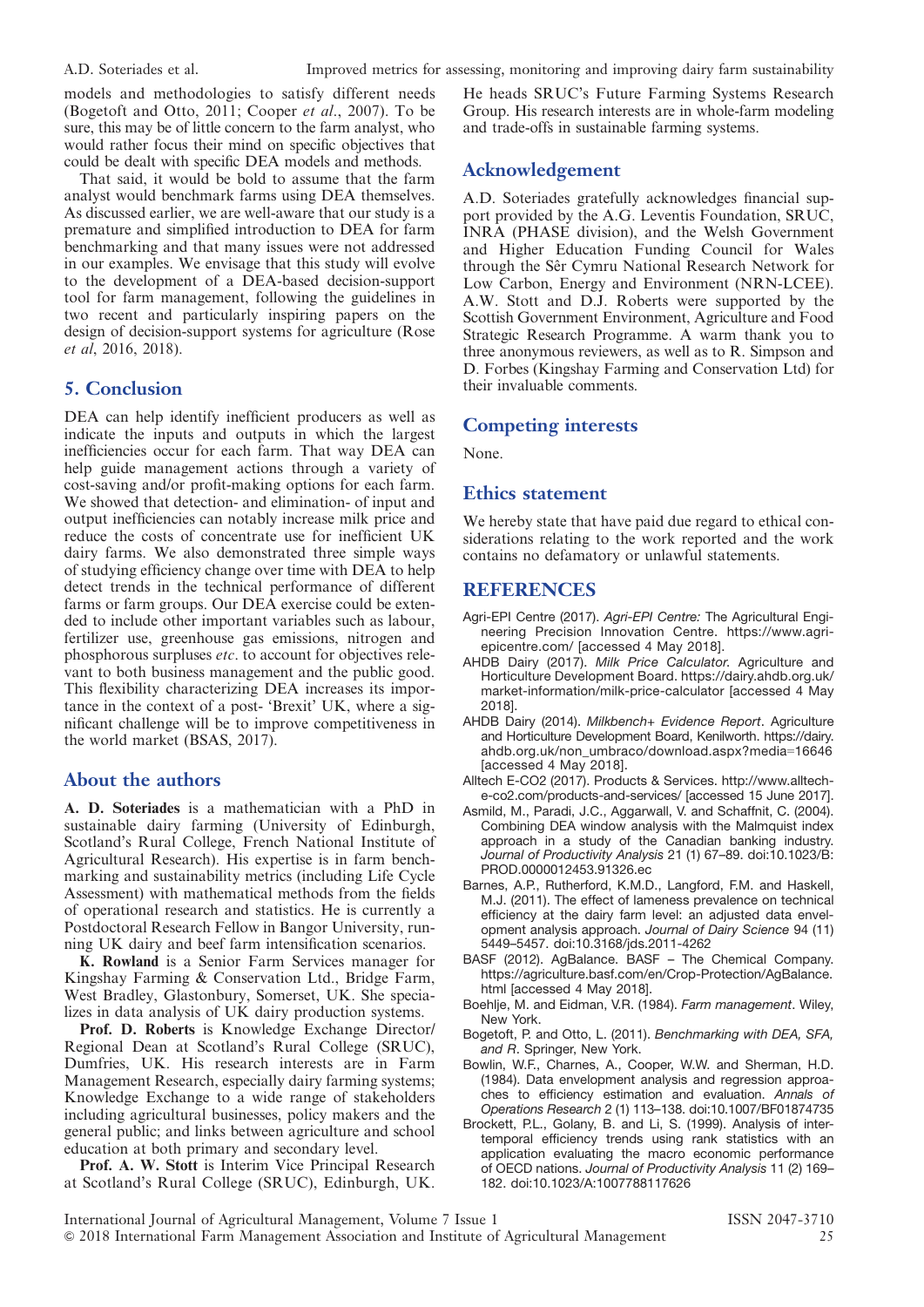models and methodologies to satisfy different needs (Bogetoft and Otto, 2011; Cooper et al., 2007). To be sure, this may be of little concern to the farm analyst, who would rather focus their mind on specific objectives that could be dealt with specific DEA models and methods.

That said, it would be bold to assume that the farm analyst would benchmark farms using DEA themselves. As discussed earlier, we are well-aware that our study is a premature and simplified introduction to DEA for farm benchmarking and that many issues were not addressed in our examples. We envisage that this study will evolve to the development of a DEA-based decision-support tool for farm management, following the guidelines in two recent and particularly inspiring papers on the design of decision-support systems for agriculture (Rose et al, 2016, 2018).

## 5. Conclusion

DEA can help identify inefficient producers as well as indicate the inputs and outputs in which the largest inefficiencies occur for each farm. That way DEA can help guide management actions through a variety of cost-saving and/or profit-making options for each farm. We showed that detection- and elimination- of input and output inefficiencies can notably increase milk price and reduce the costs of concentrate use for inefficient UK dairy farms. We also demonstrated three simple ways of studying efficiency change over time with DEA to help detect trends in the technical performance of different farms or farm groups. Our DEA exercise could be extended to include other important variables such as labour, fertilizer use, greenhouse gas emissions, nitrogen and phosphorous surpluses etc. to account for objectives relevant to both business management and the public good. This flexibility characterizing DEA increases its importance in the context of a post- 'Brexit' UK, where a significant challenge will be to improve competitiveness in the world market (BSAS, 2017).

## About the authors

A. D. Soteriades is a mathematician with a PhD in sustainable dairy farming (University of Edinburgh, Scotland's Rural College, French National Institute of Agricultural Research). His expertise is in farm benchmarking and sustainability metrics (including Life Cycle Assessment) with mathematical methods from the fields of operational research and statistics. He is currently a Postdoctoral Research Fellow in Bangor University, running UK dairy and beef farm intensification scenarios.

K. Rowland is a Senior Farm Services manager for Kingshay Farming & Conservation Ltd., Bridge Farm, West Bradley, Glastonbury, Somerset, UK. She specializes in data analysis of UK dairy production systems.

Prof. D. Roberts is Knowledge Exchange Director/ Regional Dean at Scotland's Rural College (SRUC), Dumfries, UK. His research interests are in Farm Management Research, especially dairy farming systems; Knowledge Exchange to a wide range of stakeholders including agricultural businesses, policy makers and the general public; and links between agriculture and school education at both primary and secondary level.

Prof. A. W. Stott is Interim Vice Principal Research at Scotland's Rural College (SRUC), Edinburgh, UK.

He heads SRUC's Future Farming Systems Research Group. His research interests are in whole-farm modeling and trade-offs in sustainable farming systems.

## Acknowledgement

A.D. Soteriades gratefully acknowledges financial support provided by the A.G. Leventis Foundation, SRUC, INRA (PHASE division), and the Welsh Government and Higher Education Funding Council for Wales through the Sêr Cymru National Research Network for Low Carbon, Energy and Environment (NRN-LCEE). A.W. Stott and D.J. Roberts were supported by the Scottish Government Environment, Agriculture and Food Strategic Research Programme. A warm thank you to three anonymous reviewers, as well as to R. Simpson and D. Forbes (Kingshay Farming and Conservation Ltd) for their invaluable comments.

## Competing interests

None.

#### Ethics statement

We hereby state that have paid due regard to ethical considerations relating to the work reported and the work contains no defamatory or unlawful statements.

## REFERENCES

- Agri-EPI Centre (2017). Agri-EPI Centre: The Agricultural Engineering Precision Innovation Centre. https://www.agriepicentre.com/ [accessed 4 May 2018].
- AHDB Dairy (2017). Milk Price Calculator. Agriculture and Horticulture Development Board. https://dairy.ahdb.org.uk/ market-information/milk-price-calculator [accessed 4 May 2018].
- AHDB Dairy (2014). Milkbench+ Evidence Report. Agriculture and Horticulture Development Board, Kenilworth. https://dairy. ahdb.org.uk/non\_umbraco/download.aspx?media=16646 [accessed 4 May 2018].
- Alltech E-CO2 (2017). Products & Services. http://www.allteche-co2.com/products-and-services/ [accessed 15 June 2017].
- Asmild, M., Paradi, J.C., Aggarwall, V. and Schaffnit, C. (2004). Combining DEA window analysis with the Malmquist index approach in a study of the Canadian banking industry. Journal of Productivity Analysis 21 (1) 67-89. doi:10.1023/B: PROD.0000012453.91326.ec
- Barnes, A.P., Rutherford, K.M.D., Langford, F.M. and Haskell, M.J. (2011). The effect of lameness prevalence on technical efficiency at the dairy farm level: an adjusted data envelopment analysis approach. Journal of Dairy Science 94 (11) 5449–5457. doi:10.3168/jds.2011-4262
- BASF (2012). AgBalance. BASF The Chemical Company. https://agriculture.basf.com/en/Crop-Protection/AgBalance. html [accessed 4 May 2018].
- Boehlje, M. and Eidman, V.R. (1984). Farm management. Wiley, New York.
- Bogetoft, P. and Otto, L. (2011). Benchmarking with DEA, SFA, and R. Springer, New York.
- Bowlin, W.F., Charnes, A., Cooper, W.W. and Sherman, H.D. (1984). Data envelopment analysis and regression approaches to efficiency estimation and evaluation. Annals of Operations Research 2 (1) 113–138. doi:10.1007/BF01874735
- Brockett, P.L., Golany, B. and Li, S. (1999). Analysis of intertemporal efficiency trends using rank statistics with an application evaluating the macro economic performance of OECD nations. Journal of Productivity Analysis 11 (2) 169– 182. doi:10.1023/A:1007788117626

International Journal of Agricultural Management, Volume 7 Issue 1 ISSN 2047-3710 & 2018 International Farm Management Association and Institute of Agricultural Management 25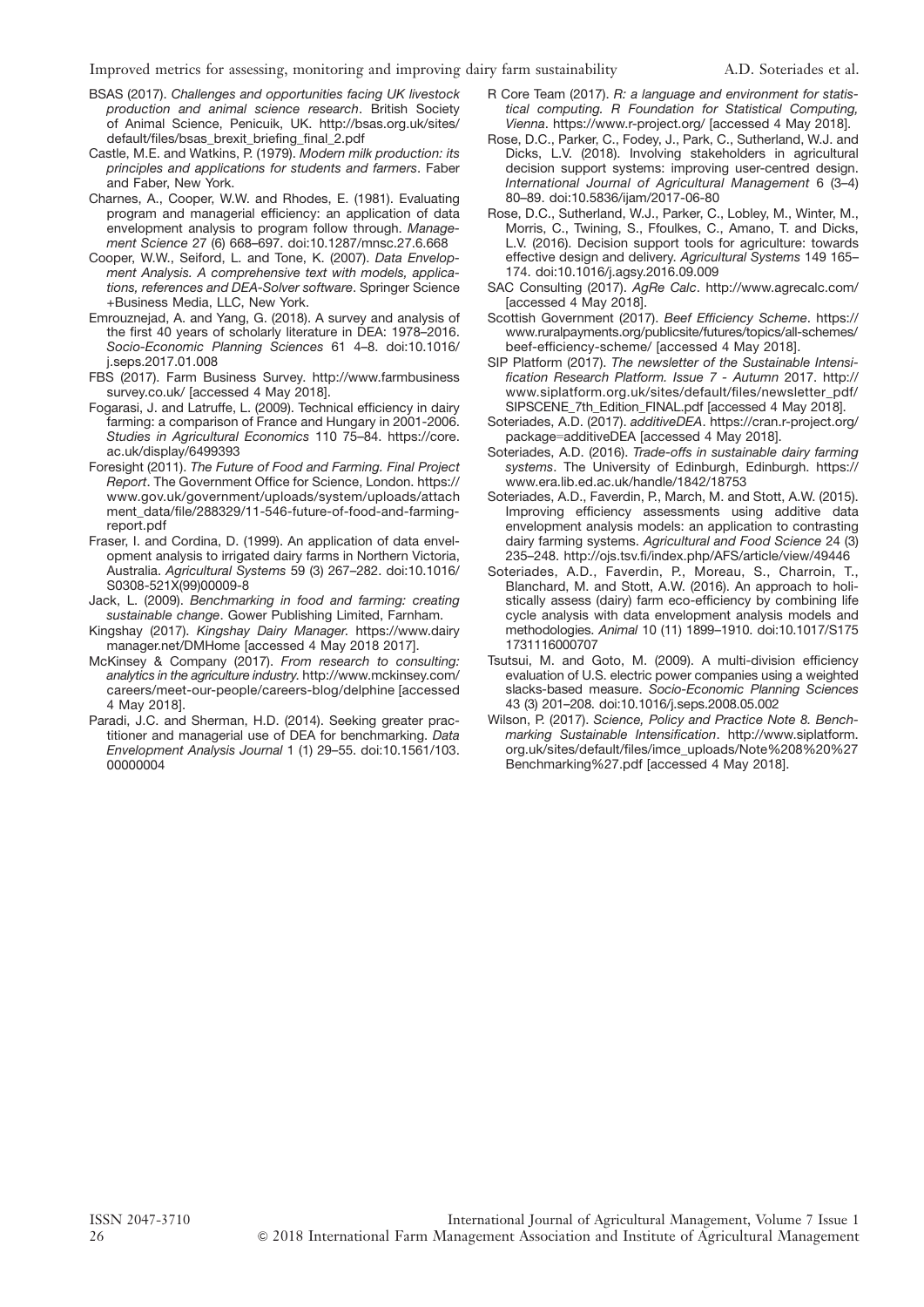- BSAS (2017). Challenges and opportunities facing UK livestock production and animal science research. British Society of Animal Science, Penicuik, UK. http://bsas.org.uk/sites/ default/files/bsas\_brexit\_briefing\_final\_2.pdf
- Castle, M.E. and Watkins, P. (1979). Modern milk production: its principles and applications for students and farmers. Faber and Faber, New York.
- Charnes, A., Cooper, W.W. and Rhodes, E. (1981). Evaluating program and managerial efficiency: an application of data envelopment analysis to program follow through. Management Science 27 (6) 668–697. doi:10.1287/mnsc.27.6.668
- Cooper, W.W., Seiford, L. and Tone, K. (2007). Data Envelopment Analysis. A comprehensive text with models, applications, references and DEA-Solver software. Springer Science +Business Media, LLC, New York.
- Emrouznejad, A. and Yang, G. (2018). A survey and analysis of the first 40 years of scholarly literature in DEA: 1978–2016. Socio-Economic Planning Sciences 61 4–8. doi:10.1016/ j.seps.2017.01.008
- FBS (2017). Farm Business Survey. http://www.farmbusiness survey.co.uk/ [accessed 4 May 2018].
- Fogarasi, J. and Latruffe, L. (2009). Technical efficiency in dairy farming: a comparison of France and Hungary in 2001-2006. Studies in Agricultural Economics 110 75–84. https://core. ac.uk/display/6499393
- Foresight (2011). The Future of Food and Farming. Final Project Report. The Government Office for Science, London. https:// www.gov.uk/government/uploads/system/uploads/attach ment\_data/file/288329/11-546-future-of-food-and-farmingreport.pdf
- Fraser, I. and Cordina, D. (1999). An application of data envelopment analysis to irrigated dairy farms in Northern Victoria, Australia. Agricultural Systems 59 (3) 267–282. doi:10.1016/ S0308-521X(99)00009-8
- Jack, L. (2009). Benchmarking in food and farming: creating sustainable change. Gower Publishing Limited, Farnham.
- Kingshay (2017). Kingshay Dairy Manager. https://www.dairy manager.net/DMHome [accessed 4 May 2018 2017].
- McKinsey & Company (2017). From research to consulting: analytics in the agriculture industry. http://www.mckinsey.com/ careers/meet-our-people/careers-blog/delphine [accessed 4 May 2018].
- Paradi, J.C. and Sherman, H.D. (2014). Seeking greater practitioner and managerial use of DEA for benchmarking. Data Envelopment Analysis Journal 1 (1) 29–55. doi:10.1561/103. 00000004
- R Core Team (2017). R: a language and environment for statistical computing. R Foundation for Statistical Computing, Vienna. https://www.r-project.org/ [accessed 4 May 2018].
- Rose, D.C., Parker, C., Fodey, J., Park, C., Sutherland, W.J. and Dicks, L.V. (2018). Involving stakeholders in agricultural decision support systems: improving user-centred design. International Journal of Agricultural Management 6 (3–4) 80–89. doi:10.5836/ijam/2017-06-80
- Rose, D.C., Sutherland, W.J., Parker, C., Lobley, M., Winter, M., Morris, C., Twining, S., Ffoulkes, C., Amano, T. and Dicks, L.V. (2016). Decision support tools for agriculture: towards effective design and delivery. Agricultural Systems 149 165– 174. doi:10.1016/j.agsy.2016.09.009
- SAC Consulting (2017). AgRe Calc. http://www.agrecalc.com/ [accessed 4 May 2018].
- Scottish Government (2017). Beef Efficiency Scheme. https:// www.ruralpayments.org/publicsite/futures/topics/all-schemes/ beef-efficiency-scheme/ [accessed 4 May 2018].
- SIP Platform (2017). The newsletter of the Sustainable Intensification Research Platform. Issue 7 - Autumn 2017. http:// www.siplatform.org.uk/sites/default/files/newsletter\_pdf/ SIPSCENE\_7th\_Edition\_FINAL.pdf [accessed 4 May 2018].
- Soteriades, A.D. (2017). additiveDEA. https://cran.r-project.org/ package=additiveDEA [accessed 4 May 2018].
- Soteriades, A.D. (2016). Trade-offs in sustainable dairy farming systems. The University of Edinburgh, Edinburgh. https:// www.era.lib.ed.ac.uk/handle/1842/18753
- Soteriades, A.D., Faverdin, P., March, M. and Stott, A.W. (2015). Improving efficiency assessments using additive data envelopment analysis models: an application to contrasting dairy farming systems. Agricultural and Food Science 24 (3) 235–248. http://ojs.tsv.fi/index.php/AFS/article/view/49446
- Soteriades, A.D., Faverdin, P., Moreau, S., Charroin, T., Blanchard, M. and Stott, A.W. (2016). An approach to holistically assess (dairy) farm eco-efficiency by combining life cycle analysis with data envelopment analysis models and methodologies. Animal 10 (11) 1899–1910. doi:10.1017/S175 1731116000707
- Tsutsui, M. and Goto, M. (2009). A multi-division efficiency evaluation of U.S. electric power companies using a weighted slacks-based measure. Socio-Economic Planning Sciences 43 (3) 201–208. doi:10.1016/j.seps.2008.05.002
- Wilson, P. (2017). Science, Policy and Practice Note 8. Benchmarking Sustainable Intensification. http://www.siplatform. org.uk/sites/default/files/imce\_uploads/Note%208%20%27 Benchmarking%27.pdf [accessed 4 May 2018].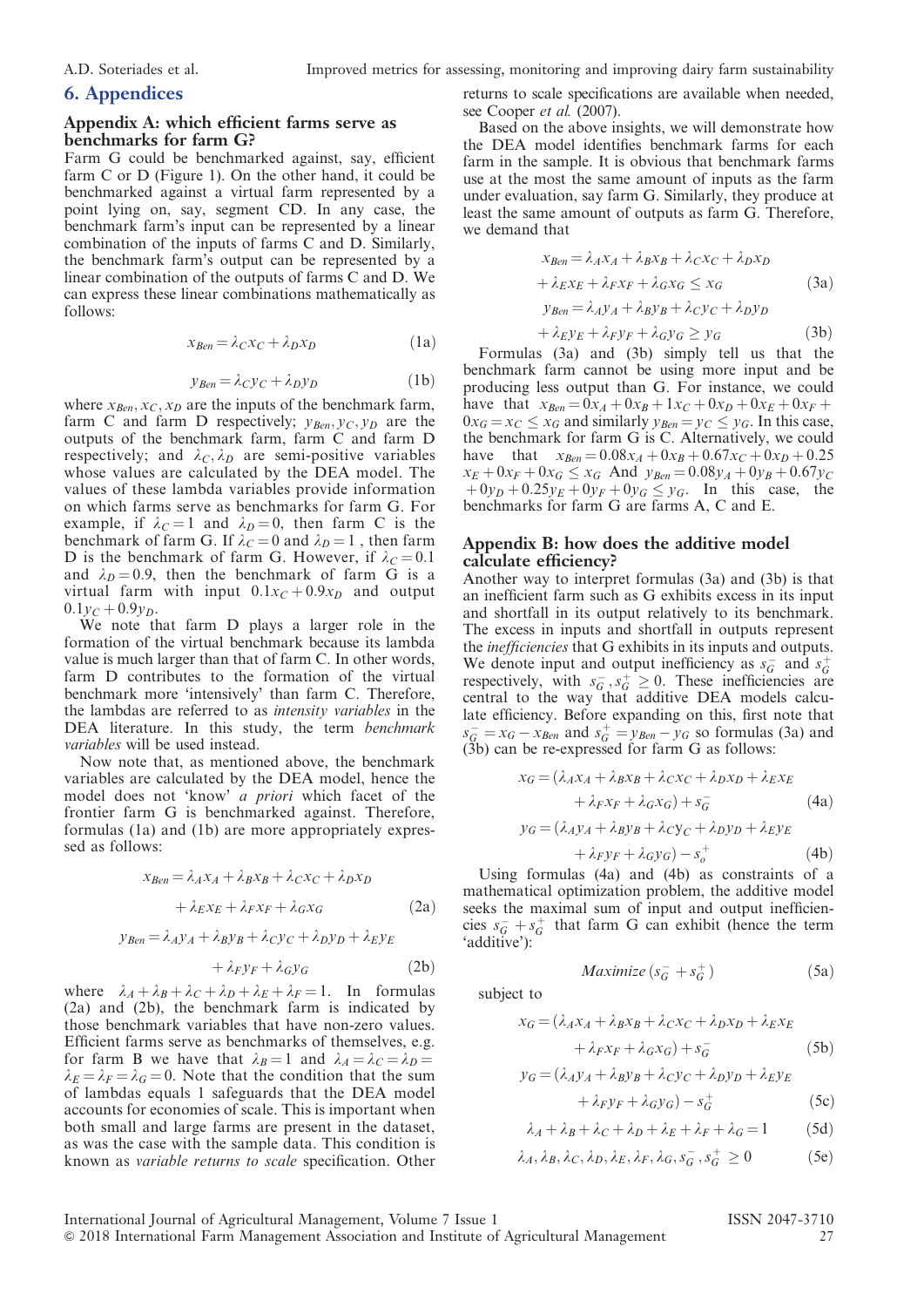## 6. Appendices

#### Appendix A: which efficient farms serve as benchmarks for farm G?

Farm G could be benchmarked against, say, efficient farm C or D (Figure 1). On the other hand, it could be benchmarked against a virtual farm represented by a point lying on, say, segment CD. In any case, the benchmark farm's input can be represented by a linear combination of the inputs of farms C and D. Similarly, the benchmark farm's output can be represented by a linear combination of the outputs of farms C and D. We can express these linear combinations mathematically as follows:

$$
x_{\text{Ben}} = \lambda_C x_C + \lambda_D x_D \tag{1a}
$$

$$
y_{\text{Ben}} = \lambda_{\text{Cyc}} + \lambda_{\text{DVD}} \tag{1b}
$$

where  $x_{Ben}, x_C, x_D$  are the inputs of the benchmark farm, farm C and farm D respectively;  $y_{Ben}, y_C, y_D$  are the outputs of the benchmark farm, farm C and farm D respectively; and  $\lambda_C$ ,  $\lambda_D$  are semi-positive variables whose values are calculated by the DEA model. The values of these lambda variables provide information on which farms serve as benchmarks for farm G. For example, if  $\lambda_C = 1$  and  $\lambda_D = 0$ , then farm C is the benchmark of farm G. If  $\lambda_C = 0$  and  $\lambda_D = 1$ , then farm D is the benchmark of farm G. However, if  $\lambda_c = 0.1$ and  $\lambda_D = 0.9$ , then the benchmark of farm G is a virtual farm with input  $0.1x_C + 0.9x_D$  and output  $0.1y_C + 0.9y_D$ .

We note that farm D plays a larger role in the formation of the virtual benchmark because its lambda value is much larger than that of farm C. In other words, farm D contributes to the formation of the virtual benchmark more 'intensively' than farm C. Therefore, the lambdas are referred to as intensity variables in the DEA literature. In this study, the term benchmark variables will be used instead.

Now note that, as mentioned above, the benchmark variables are calculated by the DEA model, hence the model does not 'know' a priori which facet of the frontier farm G is benchmarked against. Therefore, formulas (1a) and (1b) are more appropriately expressed as follows:

$$
x_{Ben} = \lambda_A x_A + \lambda_B x_B + \lambda_C x_C + \lambda_D x_D
$$

$$
+ \lambda_E x_E + \lambda_F x_F + \lambda_G x_G
$$
 (2a)

$$
y_{Ben} = \lambda_A y_A + \lambda_B y_B + \lambda_C y_C + \lambda_D y_D + \lambda_E y_E
$$

$$
+\lambda_F y_F + \lambda_G y_G \tag{2b}
$$

where  $\lambda_A + \lambda_B + \lambda_C + \lambda_D + \lambda_E + \lambda_F = 1$ . In formulas (2a) and (2b), the benchmark farm is indicated by those benchmark variables that have non-zero values. Efficient farms serve as benchmarks of themselves, e.g. for farm B we have that  $\lambda_B = 1$  and  $\lambda_A = \lambda_C = \lambda_D =$  $\lambda_E = \lambda_F = \lambda_G = 0$ . Note that the condition that the sum of lambdas equals 1 safeguards that the DEA model accounts for economies of scale. This is important when both small and large farms are present in the dataset, as was the case with the sample data. This condition is known as variable returns to scale specification. Other

returns to scale specifications are available when needed, see Cooper et al. (2007).

Based on the above insights, we will demonstrate how the DEA model identifies benchmark farms for each farm in the sample. It is obvious that benchmark farms use at the most the same amount of inputs as the farm under evaluation, say farm G. Similarly, they produce at least the same amount of outputs as farm G. Therefore, we demand that

$$
x_{Ben} = \lambda_A x_A + \lambda_B x_B + \lambda_C x_C + \lambda_D x_D
$$
  
+  $\lambda_E x_E + \lambda_F x_F + \lambda_G x_G \le x_G$  (3a)  

$$
y_{Ben} = \lambda_A y_A + \lambda_B y_B + \lambda_C y_C + \lambda_D y_D
$$
  
+  $\lambda_E y_E + \lambda_F y_F + \lambda_G y_G \ge y_G$  (3b)

Formulas (3a) and (3b) simply tell us that the benchmark farm cannot be using more input and be producing less output than G. For instance, we could have that  $x_{Ben} = 0x_A + 0x_B + 1x_C + 0x_D + 0x_E + 0x_F + 0$  $0x_G = x_C \le x_G$  and similarly  $y_{Ben} = y_C \le y_G$ . In this case, the benchmark for farm G is C. Alternatively, we could have that  $x_{Ben} = 0.08x_A + 0x_B + 0.67x_C + 0x_D + 0.25$  $x_E + 0x_F + 0x_G \le x_G$  And  $y_{Ben} = 0.08y_A + 0y_B + 0.67y_C$  $+0y_D + 0.25y_E + 0y_F + 0y_G \le y_G$ . In this case, the benchmarks for farm G are farms A, C and E.

#### Appendix B: how does the additive model calculate efficiency?

Another way to interpret formulas (3a) and (3b) is that an inefficient farm such as G exhibits excess in its input and shortfall in its output relatively to its benchmark. The excess in inputs and shortfall in outputs represent the inefficiencies that G exhibits in its inputs and outputs. We denote input and output inefficiency as  $s_G^-$  and  $s_G^+$ respectively, with  $s_G^-, s_G^+ \geq 0$ . These inefficiencies are central to the way that additive DEA models calculate efficiency. Before expanding on this, first note that  $s_G^- = x_G - x_{Ben}$  and  $s_G^+ = y_{Ben} - y_G$  so formulas (3a) and (3b) can be re-expressed for farm G as follows:

$$
x_G = (\lambda_A x_A + \lambda_B x_B + \lambda_C x_C + \lambda_D x_D + \lambda_E x_E
$$
  
+  $\lambda_F x_F + \lambda_G x_G + \lambda_{\overline{G}}$  (4a)

$$
y_G = (\lambda_A y_A + \lambda_B y_B + \lambda_C y_C + \lambda_D y_D + \lambda_E y_E
$$
 (4b)

$$
+\lambda_F y_F + \lambda_G y_G) - s_o^+ \tag{4b}
$$

Using formulas (4a) and (4b) as constraints of a mathematical optimization problem, the additive model seeks the maximal sum of input and output inefficiencies  $s_{\mathcal{G}}^- + s_{\mathcal{G}}^+$  that farm G can exhibit (hence the term 'additive'):

$$
Maximize (s_G^- + s_G^+) \tag{5a}
$$

subject to

$$
x_G = (\lambda_A x_A + \lambda_B x_B + \lambda_C x_C + \lambda_D x_D + \lambda_E x_E
$$
  
+  $\lambda_F x_F + \lambda_G x_G + s_G$  (5b)

$$
y_G = (\lambda_A y_A + \lambda_B y_B + \lambda_C y_C + \lambda_D y_D + \lambda_E y_E
$$
  
+  $\lambda_F y_F + \lambda_G y_G$ ) -  $s_c^+$  (5c)

$$
\lambda_4 + \lambda_5 + \lambda_6 + \lambda_7 + \lambda_8 + \lambda_9 = 1
$$
 (5d)

$$
P_1 + P_2 + P_3 + P_4 + P_5 + P_6
$$

$$
\lambda_A, \lambda_B, \lambda_C, \lambda_D, \lambda_E, \lambda_F, \lambda_G, s_G^-, s_G^+ \ge 0 \tag{5e}
$$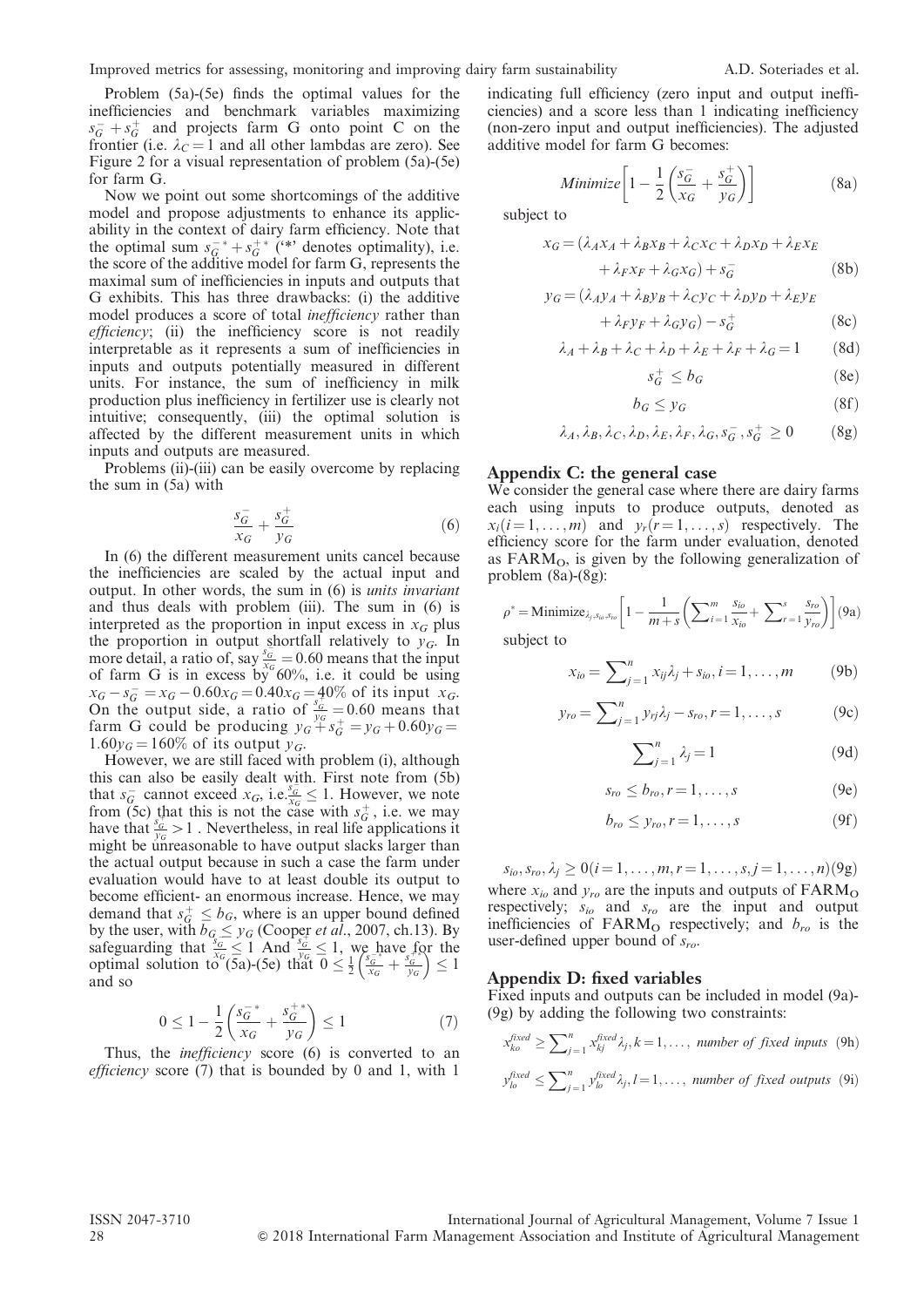Problem (5a)-(5e) finds the optimal values for the inefficiencies and benchmark variables maximizing  $s_G^- + s_G^+$  and projects farm G onto point C on the frontier (i.e.  $\lambda_c = 1$  and all other lambdas are zero). See Figure 2 for a visual representation of problem (5a)-(5e) for farm G.

Now we point out some shortcomings of the additive model and propose adjustments to enhance its applicability in the context of dairy farm efficiency. Note that the optimal sum  $s_{\mathcal{G}}^{-*} + s_{\mathcal{G}}^{+*}$  (\*\*) denotes optimality), i.e. the score of the additive model for farm G, represents the maximal sum of inefficiencies in inputs and outputs that G exhibits. This has three drawbacks: (i) the additive model produces a score of total inefficiency rather than efficiency; (ii) the inefficiency score is not readily interpretable as it represents a sum of inefficiencies in inputs and outputs potentially measured in different units. For instance, the sum of inefficiency in milk production plus inefficiency in fertilizer use is clearly not intuitive; consequently, (iii) the optimal solution is affected by the different measurement units in which inputs and outputs are measured.

Problems (ii)-(iii) can be easily overcome by replacing the sum in (5a) with

$$
\frac{s_G^-}{x_G} + \frac{s_G^+}{y_G} \tag{6}
$$

In (6) the different measurement units cancel because the inefficiencies are scaled by the actual input and output. In other words, the sum in (6) is units invariant and thus deals with problem (iii). The sum in (6) is interpreted as the proportion in input excess in  $x_G$  plus the proportion in output shortfall relatively to  $y<sub>G</sub>$ . In more detail, a ratio of, say  $\frac{s_G}{x_G} = 0.60$  means that the input of farm G is in excess by 60%, i.e. it could be using  $x_G - s_G^- = x_G - 0.60x_G = 0.40x_G = 40\%$  of its input  $x_G$ .<br>On the output side, a ratio of  $\frac{s_G^+}{y_G} = 0.60$  means that farm G could be producing  $y_G + s_G^+ = y_G + 0.60y_G =$  $1.60y_G = 160\%$  of its output  $y_G$ .

However, we are still faced with problem (i), although this can also be easily dealt with. First note from (5b) that  $s_G^-$  cannot exceed  $x_G$ , i.e.,  $\frac{s_G^-}{x_G} \leq 1$ . However, we note from (5c) that this is not the case with  $s_G^+$ , i.e. we may have that  $\frac{s_G^-}{y_G} > 1$ . Nevertheless, in real life applications it might be unreasonable to have output slacks larger than the actual output because in such a case the farm under evaluation would have to at least double its output to become efficient- an enormous increase. Hence, we may demand that  $s_G^+ \leq b_G$ , where is an upper bound defined by the user, with  $b_{G} \leq y_G$  (Cooper *et al.*, 2007, ch.13). By safeguarding that  $\frac{s_G}{x_G} \leq 1$  And  $\frac{s_G}{y_G} \leq 1$ , we have for the optimal solution to (5a)-(5e) that  $0 \le \frac{1}{2}$  $\left(\frac{s_{G}^{-*}}{x_{G}} + \frac{s_{G}^{+*}}{y_{G}}\right) \leq 1$ and so

$$
0 \le 1 - \frac{1}{2} \left( \frac{s_G^{-*}}{x_G} + \frac{s_G^{+*}}{y_G} \right) \le 1 \tag{7}
$$

Thus, the *inefficiency* score (6) is converted to an *efficiency* score  $(7)$  that is bounded by 0 and 1, with 1

indicating full efficiency (zero input and output inefficiencies) and a score less than 1 indicating inefficiency (non-zero input and output inefficiencies). The adjusted additive model for farm G becomes:

Minimize 
$$
\left[1 - \frac{1}{2} \left( \frac{s_G^-}{x_G} + \frac{s_G^+}{y_G^-} \right) \right]
$$
 (8a)

subject to

$$
x_G = (\lambda_A x_A + \lambda_B x_B + \lambda_C x_C + \lambda_D x_D + \lambda_E x_E
$$
  
+  $\lambda_F x_F + \lambda_G x_G$ ) +  $s_G^-$  (8b)

$$
y_G = (\lambda_A y_A + \lambda_B y_B + \lambda_C y_C + \lambda_D y_D + \lambda_E y_E
$$

$$
+\lambda_F y_F + \lambda_G y_G) - s_G^+ \tag{8c}
$$

$$
\lambda_A + \lambda_B + \lambda_C + \lambda_D + \lambda_E + \lambda_F + \lambda_G = 1 \tag{8d}
$$

$$
s_G^+ \le b_G \tag{8e}
$$

$$
b_G \le y_G \tag{8f}
$$

$$
\lambda_A, \lambda_B, \lambda_C, \lambda_D, \lambda_E, \lambda_F, \lambda_G, s_G^-, s_G^+ \ge 0 \tag{8g}
$$

#### Appendix C: the general case

We consider the general case where there are dairy farms each using inputs to produce outputs, denoted as  $x_i(i = 1, \ldots, m)$  and  $y_r(r = 1, \ldots, s)$  respectively. The efficiency score for the farm under evaluation, denoted as  $FARM<sub>O</sub>$ , is given by the following generalization of problem (8a)-(8g):

$$
\rho^* = \text{Minimize}_{\lambda_j, s_{io}, s_{ro}} \left[ 1 - \frac{1}{m+s} \left( \sum_{i=1}^m \frac{s_{io}}{x_{io}} + \sum_{r=1}^s \frac{s_{ro}}{y_{ro}} \right) \right] (9a)
$$

subject to

$$
x_{io} = \sum_{j=1}^{n} x_{ij} \lambda_j + s_{io}, i = 1, ..., m
$$
 (9b)

$$
y_{ro} = \sum_{j=1}^{n} y_{rj} \lambda_j - s_{ro}, r = 1, ..., s
$$
 (9c)

$$
\sum_{j=1}^{n} \lambda_j = 1 \tag{9d}
$$

$$
s_{ro} \le b_{ro}, r = 1, \dots, s \tag{9e}
$$

$$
b_{ro} \leq y_{ro}, r = 1, \dots, s \tag{9f}
$$

 $s_{io}, s_{ro}, \lambda_i \geq 0 (i = 1, \ldots, m, r = 1, \ldots, s, j = 1, \ldots, n)$ (9g) where  $x_{io}$  and  $y_{ro}$  are the inputs and outputs of  $FARM<sub>O</sub>$ respectively;  $s_{io}$  and  $s_{ro}$  are the input and output inefficiencies of FARM<sub>O</sub> respectively; and  $b_{ro}$  is the user-defined upper bound of  $s_{ro}$ .

#### Appendix D: fixed variables

Fixed inputs and outputs can be included in model (9a)- (9g) by adding the following two constraints:

$$
x_{ko}^{fixed} \ge \sum_{j=1}^{n} x_{kj}^{fixed} \lambda_j, k = 1, ..., \text{ number of fixed inputs (9h)}
$$

$$
y_{lo}^{fixed} \le \sum_{j=1}^{n} y_{lo}^{fixed} \lambda_j, l = 1, ..., \text{ number of fixed outputs (9i)}
$$